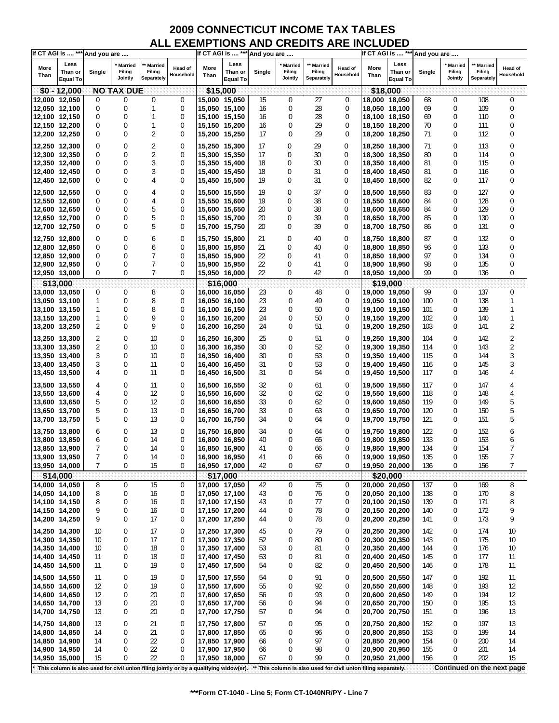| If CT AGI is  *** And you are  |                            |             |                   |                      |                                                                                         |                                |                            | If CT AGI is  *** And you are |                   |                      |                                                                |               | If CT AGI is  *** And you are |            |                   |                      |                            |
|--------------------------------|----------------------------|-------------|-------------------|----------------------|-----------------------------------------------------------------------------------------|--------------------------------|----------------------------|-------------------------------|-------------------|----------------------|----------------------------------------------------------------|---------------|-------------------------------|------------|-------------------|----------------------|----------------------------|
| More                           | Less                       |             | Married           | <b>Married</b>       | <b>Head of</b>                                                                          | More                           | Less                       |                               | <b>Married</b>    | ** Married           | Head of                                                        | More          | Less                          |            | <b>Married</b>    | Married              | Head of                    |
| Than                           | Than or<br><b>Equal To</b> | Single      | Filing<br>Jointly | Filing<br>Separately | Household                                                                               | Than                           | Than or<br><b>Equal To</b> | Single                        | Filing<br>Jointly | Filing<br>Separately | Household                                                      | Than          | Than or<br><b>Equal To</b>    | Single     | Filing<br>Jointly | Filing<br>Separately | Household                  |
|                                | $$0 - 12,000$              |             | <b>NO TAX DUE</b> |                      |                                                                                         | \$15,000                       |                            |                               |                   |                      |                                                                |               | \$18,000                      |            |                   |                      |                            |
| 12,000 12,050                  |                            | $\mathbf 0$ | 0                 | 0                    | 0                                                                                       | 15,000 15,050                  |                            | 15                            | 0                 | 27                   | 0                                                              |               | 18,000 18,050                 | 68         | 0                 | 108                  | 0                          |
| 12,050 12,100                  |                            | 0           | 0                 | 1                    | 0                                                                                       | 15,050 15,100                  |                            | 16                            | 0                 | 28                   | 0                                                              |               | 18,050 18,100                 | 69         | 0                 | 109                  | 0                          |
| 12,100 12,150                  |                            | 0           | 0                 | 1                    | 0                                                                                       | 15,100 15,150                  |                            | 16                            | 0                 | 28                   | 0                                                              |               | 18,100 18,150                 | 69         | 0                 | 110                  | 0                          |
| 12,150 12,200                  |                            | 0           | 0                 | $\mathbf{1}$         | 0                                                                                       | 15,150 15,200                  |                            | 16                            | 0                 | 29                   | 0                                                              |               | 18,150 18,200                 | 70         | 0                 | 111                  | 0                          |
| 12,200 12,250                  |                            | 0           | 0                 | 2                    | 0                                                                                       | 15,200 15,250                  |                            | 17                            | 0                 | 29                   | $\theta$                                                       |               | 18,200 18,250                 | 71         | 0                 | 112                  | 0                          |
|                                |                            |             |                   |                      |                                                                                         |                                |                            |                               |                   |                      |                                                                |               |                               |            |                   |                      |                            |
| 12,250 12,300                  |                            | 0           | 0                 | 2                    | 0                                                                                       | 15,250 15,300                  |                            | 17                            | 0                 | 29                   | 0                                                              |               | 18,250 18,300                 | 71         | 0                 | 113                  | 0                          |
| 12,300 12,350                  |                            | 0           | 0                 | $\overline{2}$       | $\mathbf 0$                                                                             | 15,300 15,350                  |                            | 17                            | 0                 | 30                   | 0                                                              |               | 18,300 18,350                 | 80         | 0                 | 114                  | 0                          |
| 12,350 12,400                  |                            | 0           | 0                 | 3                    | 0                                                                                       | 15,350 15,400                  |                            | 18                            | 0                 | 30                   | $\Omega$                                                       |               | 18,350 18,400                 | 81         | 0                 | 115                  | 0                          |
| 12,400 12,450                  |                            | 0           | 0                 | 3                    | 0                                                                                       | 15,400 15,450                  |                            | 18                            | 0                 | 31                   | 0                                                              |               | 18,400 18,450                 | 81         | 0                 | 116                  | 0                          |
| 12,450 12,500                  |                            | 0           | 0                 | 4                    | 0                                                                                       | 15,450 15,500                  |                            | 19                            | 0                 | 31                   | $\mathbf 0$                                                    |               | 18,450 18,500                 | 82         | 0                 | 117                  | 0                          |
| 12,500 12,550                  |                            | 0           | $\mathbf 0$       | 4                    | 0                                                                                       | 15,500 15,550                  |                            | 19                            | 0                 | 37                   | $\mathbf 0$                                                    |               | 18,500 18,550                 | 83         | $\Omega$          | 127                  | 0                          |
|                                |                            | 0           | 0                 |                      | 0                                                                                       |                                |                            |                               | 0                 | 38                   | 0                                                              |               |                               |            | 0                 |                      | 0                          |
| 12,550 12,600                  |                            |             |                   | 4                    |                                                                                         | 15,550 15,600                  |                            | 19                            |                   |                      |                                                                |               | 18,550 18,600                 | 84         |                   | 128                  |                            |
| 12,600 12,650                  |                            | 0           | 0                 | 5                    | 0                                                                                       | 15,600 15,650                  |                            | 20                            | 0                 | 38                   | 0                                                              |               | 18,600 18,650                 | 84         | 0                 | 129                  | 0                          |
| 12,650 12,700                  |                            | 0           | 0                 | 5                    | 0                                                                                       | 15,650 15,700                  |                            | 20                            | 0                 | 39                   | 0                                                              |               | 18,650 18,700                 | 85         | 0                 | 130                  | 0                          |
| 12,700 12,750                  |                            | 0           | 0                 | 5                    | 0                                                                                       | 15,700 15,750                  |                            | 20                            | 0                 | 39                   | 0                                                              |               | 18,700 18,750                 | 86         | 0                 | 131                  | 0                          |
| 12,750 12,800                  |                            | 0           | 0                 | 6                    | 0                                                                                       | 15,750 15,800                  |                            | 21                            | 0                 | 40                   | $\mathbf 0$                                                    |               | 18,750 18,800                 | 87         | 0                 | 132                  | 0                          |
| 12,800 12,850                  |                            | 0           | 0                 | 6                    | $\mathbf 0$                                                                             | 15,800 15,850                  |                            | 21                            | 0                 | 40                   | 0                                                              |               | 18,800 18,850                 | 96         | 0                 | 133                  | 0                          |
| 12,850 12,900                  |                            | 0           | 0                 | 7                    | 0                                                                                       | 15,850 15,900                  |                            | 22                            | 0                 | 41                   | 0                                                              |               | 18,850 18,900                 | 97         | 0                 | 134                  | 0                          |
| 12,900 12,950                  |                            | 0           | 0                 | 7                    | 0                                                                                       | 15,900 15,950                  |                            | 22                            | 0                 | 41                   | 0                                                              |               | 18,900 18,950                 | 98         | 0                 | 135                  | 0                          |
| 12,950 13,000                  |                            | 0           | 0                 | 7                    | 0                                                                                       | 15,950 16,000                  |                            | 22                            | 0                 | 42                   | 0                                                              |               | 18,950 19,000                 | 99         | 0                 | 136                  | 0                          |
|                                | \$13,000                   |             |                   |                      |                                                                                         |                                | \$16,000                   |                               |                   |                      |                                                                |               |                               |            |                   |                      |                            |
|                                |                            |             | 0                 | 8                    | $\mathbf 0$                                                                             |                                |                            |                               |                   |                      |                                                                |               | \$19,000                      |            | 0                 | 137                  | $\mathbf 0$                |
| 13,000 13,050                  |                            | 0           |                   |                      |                                                                                         | 16,000 16,050                  |                            | 23                            | 0                 | 48                   | 0                                                              |               | 19,000 19,050                 | 99         |                   |                      |                            |
| 13,050 13,100                  |                            | 1           | 0                 | 8                    | 0                                                                                       | 16,050 16,100                  |                            | 23                            | 0                 | 49                   | 0                                                              |               | 19,050 19,100                 | 100        | 0                 | 138                  | 1                          |
| 13,100 13,150                  |                            | 1           | 0                 | 8                    | 0                                                                                       | 16,100 16,150                  |                            | 23                            | 0                 | 50                   | 0                                                              |               | 19,100 19,150                 | 101        | 0                 | 139                  | 1                          |
| 13,150 13,200                  |                            | 1           | 0                 | 9                    | 0                                                                                       | 16,150 16,200                  |                            | 24                            | 0                 | 50                   | 0                                                              |               | 19,150 19,200                 | 102        | 0                 | 140                  | $\mathbf{1}$               |
| 13,200 13,250                  |                            | 2           | 0                 | 9                    | 0                                                                                       | 16,200 16,250                  |                            | 24                            | 0                 | 51                   | 0                                                              |               | 19,200 19,250                 | 103        | 0                 | 141                  | 2                          |
| 13,250 13,300                  |                            | 2           | 0                 | 10                   | 0                                                                                       | 16,250 16,300                  |                            | 25                            | 0                 | 51                   | $\mathbf 0$                                                    |               | 19,250 19,300                 | 104        | 0                 | 142                  | 2                          |
| 13,300 13,350                  |                            | 2           | 0                 | 10                   | 0                                                                                       | 16,300 16,350                  |                            | 30                            | 0                 | 52                   | 0                                                              |               | 19,300 19,350                 | 114        | 0                 | 143                  | 2                          |
| 13,350 13,400                  |                            | 3           | 0                 | 10                   | 0                                                                                       | 16,350 16,400                  |                            | 30                            | $\Omega$          | 53                   | $\theta$                                                       |               | 19,350 19,400                 | 115        | 0                 | 144                  | 3                          |
| 13,400 13,450                  |                            | 3           | 0                 | 11                   | 0                                                                                       | 16,400 16,450                  |                            | 31                            | 0                 | 53                   | 0                                                              |               | 19,400 19,450                 | 116        | 0                 | 145                  | 3                          |
| 13,450 13,500                  |                            | 4           | 0                 | 11                   | 0                                                                                       | 16,450 16,500                  |                            | 31                            | 0                 | 54                   | 0                                                              |               | 19,450 19,500                 | 117        | 0                 | 146                  | 4                          |
|                                |                            |             |                   |                      |                                                                                         |                                |                            |                               |                   |                      |                                                                |               |                               |            |                   |                      |                            |
| 13,500 13,550                  |                            | 4           | 0                 | 11                   | 0                                                                                       | 16,500 16,550                  |                            | 32                            | 0                 | 61                   | 0                                                              |               | 19,500 19,550                 | 117        | 0                 | 147                  | 4                          |
| 13,550 13,600                  |                            | 4           | 0                 | 12                   | 0                                                                                       | 16,550 16,600                  |                            | 32                            | 0                 | 62                   | 0                                                              |               | 19,550 19,600                 | 118        | 0                 | 148                  | 4                          |
| 13,600 13,650                  |                            | 5           | 0                 | 12                   | 0                                                                                       | 16,600 16,650                  |                            | 33                            | 0                 | 62                   | 0                                                              |               | 19,600 19,650                 | 119        | 0                 | 149                  | 5                          |
| 13,650 13,700                  |                            | 5           | 0                 | 13                   | 0                                                                                       | 16,650 16,700                  |                            | 33                            | 0                 | 63                   | 0                                                              |               | 19,650 19,700                 | 120        | 0                 | 150                  | 5                          |
| 13,700 13,750                  |                            | 5           | 0                 | 13                   | 0                                                                                       | 16,700 16,750                  |                            | 34                            | 0                 | 64                   | 0                                                              |               | 19,700 19,750                 | 121        | 0                 | 151                  | 5                          |
|                                |                            |             |                   |                      |                                                                                         |                                |                            |                               |                   |                      |                                                                |               |                               |            |                   |                      |                            |
| 13,750 13,800                  |                            | 6           | 0                 | 13                   | 0                                                                                       | 16,750 16,800                  |                            | 34                            | 0                 | 64                   | 0                                                              |               | 19,750 19,800                 | 122        | 0                 | 152                  | 6                          |
| 13,800 13,850                  |                            | 6           | 0                 | 14                   | 0                                                                                       | 16,800 16,850                  |                            | 40                            | 0                 | 65                   | 0                                                              |               | 19,800 19,850                 | 133        | 0                 | 153                  | 6                          |
| 13,850 13,900                  |                            | 7           | 0                 | 14                   | 0                                                                                       | 16,850 16,900                  |                            | 41                            | 0                 | 66                   | 0                                                              |               | 19,850 19,900                 | 134        | 0                 | 154                  | 7                          |
| 13,900 13,950                  |                            | 7           | $\Omega$          | 14                   | $\Omega$                                                                                | 16,900 16,950                  |                            | 41                            | $\Omega$          | 66                   | $\theta$                                                       |               | 19,900 19,950                 | 135        | 0                 | 155                  | 7                          |
| 13,950 14,000                  |                            | 7           | 0                 | 15                   | 0                                                                                       | 16,950 17,000                  |                            | 42                            | 0                 | 67                   | 0                                                              | 19,950 20,000 |                               | 136        | 0                 | 156                  | 7                          |
|                                | \$14,000                   |             |                   |                      |                                                                                         |                                | \$17,000                   |                               |                   |                      |                                                                |               | \$20,000                      |            |                   |                      |                            |
| 14,000 14,050                  |                            | 8           | 0                 | 15                   | 0                                                                                       | 17,000 17,050                  |                            | 42                            | 0                 | 75                   | 0                                                              |               | 20,000 20,050                 | 137        | 0                 | 169                  | 8                          |
| 14,050 14,100                  |                            | 8           | 0                 | 16                   | 0                                                                                       | 17,050 17,100                  |                            | 43                            | 0                 | 76                   | 0                                                              |               | 20,050 20,100                 | 138        | 0                 | 170                  | 8                          |
| 14,100 14,150                  |                            | 8           | 0                 | 16                   | 0                                                                                       | 17,100 17,150                  |                            | 43                            | 0                 | 77                   | 0                                                              | 20,100 20,150 |                               | 139        | 0                 | 171                  | 8                          |
| 14,150 14,200                  |                            | 9           | 0                 | 16                   | 0                                                                                       | 17,150 17,200                  |                            | 44                            | 0                 | 78                   | 0                                                              |               | 20,150 20,200                 | 140        | 0                 | 172                  | 9                          |
| 14,200 14,250                  |                            | 9           | 0                 | 17                   | 0                                                                                       | 17,200 17,250                  |                            | 44                            | 0                 | 78                   | 0                                                              |               | 20,200 20,250                 | 141        | 0                 | 173                  | 9                          |
|                                |                            | 10          | 0                 | 17                   | 0                                                                                       |                                |                            |                               | 0                 | 79                   | 0                                                              |               |                               |            | 0                 | 174                  |                            |
| 14,250 14,300<br>14,300 14,350 |                            | 10          | 0                 | 17                   | 0                                                                                       | 17,250 17,300<br>17,300 17,350 |                            | 45<br>52                      | 0                 | 80                   | 0                                                              | 20,300 20,350 | 20,250 20,300                 | 142<br>143 | 0                 | 175                  | 10<br>10                   |
|                                |                            |             | 0                 |                      |                                                                                         |                                |                            |                               |                   |                      | 0                                                              |               |                               |            |                   |                      |                            |
| 14,350 14,400                  |                            | 10          |                   | 18                   | 0                                                                                       | 17,350 17,400                  |                            | 53                            | 0                 | 81                   |                                                                |               | 20,350 20,400                 | 144        | 0                 | 176                  | 10                         |
| 14,400 14,450                  |                            | 11          | 0                 | 18                   | 0                                                                                       | 17,400 17,450                  |                            | 53                            | 0                 | 81                   | 0                                                              |               | 20,400 20,450                 | 145        | 0                 | 177                  | 11                         |
| 14,450 14,500                  |                            | 11          | 0                 | 19                   | 0                                                                                       | 17,450 17,500                  |                            | 54                            | 0                 | 82                   | 0                                                              |               | 20,450 20,500                 | 146        | 0                 | 178                  | 11                         |
| 14,500 14,550                  |                            | 11          | 0                 | 19                   | 0                                                                                       | 17,500 17,550                  |                            | 54                            | 0                 | 91                   | 0                                                              |               | 20,500 20,550                 | 147        | 0                 | 192                  | 11                         |
| 14,550 14,600                  |                            | 12          | 0                 | 19                   | 0                                                                                       | 17,550 17,600                  |                            | 55                            | 0                 | 92                   | 0                                                              |               | 20,550 20,600                 | 148        | 0                 | 193                  | 12                         |
| 14,600 14,650                  |                            | 12          | 0                 | 20                   | 0                                                                                       | 17,600 17,650                  |                            | 56                            | 0                 | 93                   | 0                                                              |               | 20,600 20,650                 | 149        | 0                 | 194                  | 12                         |
| 14,650 14,700                  |                            | 13          | 0                 | 20                   | 0                                                                                       | 17,650 17,700                  |                            | 56                            | 0                 | 94                   | 0                                                              |               | 20,650 20,700                 | 150        | 0                 | 195                  | 13                         |
| 14,700 14,750                  |                            | 13          | 0                 | 20                   | 0                                                                                       | 17,700 17,750                  |                            | 57                            | 0                 | 94                   | 0                                                              |               | 20,700 20,750                 | 151        | 0                 | 196                  | 13                         |
|                                |                            |             |                   |                      |                                                                                         |                                |                            |                               |                   |                      |                                                                |               |                               |            |                   |                      |                            |
| 14,750 14,800                  |                            | 13          | 0                 | 21                   | 0                                                                                       | 17,750 17,800                  |                            | 57                            | 0                 | 95                   | 0                                                              |               | 20,750 20,800                 | 152        | 0                 | 197                  | 13                         |
| 14,800 14,850                  |                            | 14          | 0                 | 21                   | 0                                                                                       | 17,800 17,850                  |                            | 65                            | 0                 | 96                   | 0                                                              |               | 20,800 20,850                 | 153        | 0                 | 199                  | 14                         |
| 14,850 14,900                  |                            | 14          | 0                 | 22                   | 0                                                                                       | 17,850 17,900                  |                            | 66                            | 0                 | 97                   | 0                                                              |               | 20,850 20,900                 | 154        | 0                 | 200                  | 14                         |
| 14,900 14,950                  |                            | 14          | 0                 | 22                   | 0                                                                                       | 17,900 17,950                  |                            | 66                            | 0                 | 98                   | 0                                                              |               | 20,900 20,950                 | 155        | 0                 | 201                  | 14                         |
| 14,950 15,000                  |                            | 15          | 0                 | 22                   | 0                                                                                       | 17,950 18,000                  |                            | 67                            | 0                 | 99                   | $\theta$                                                       | 20,950 21,000 |                               | 156        | 0                 | 202                  | 15                         |
|                                |                            |             |                   |                      | * This column is also used for civil union filing jointly or by a qualifying widow(er). |                                |                            |                               |                   |                      | ** This column is also used for civil union filing separately. |               |                               |            |                   |                      | Continued on the next page |
|                                |                            |             |                   |                      |                                                                                         |                                |                            |                               |                   |                      |                                                                |               |                               |            |                   |                      |                            |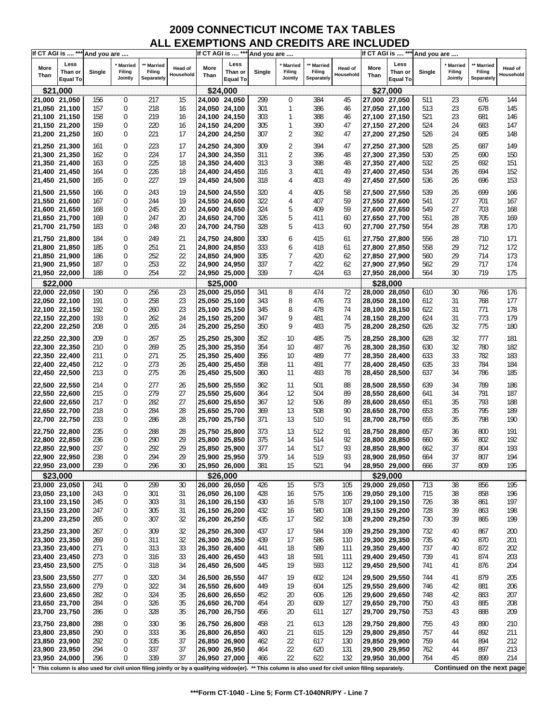|               | If CT AGI is  *** And you are      |        |                                     |                                                                                                                                                      |                             |               | If CT AGI is  *** And you are      |        |                                |                                        |                      |               | If CT AGI is  *** And you are      |        |                                     |                                 |                      |
|---------------|------------------------------------|--------|-------------------------------------|------------------------------------------------------------------------------------------------------------------------------------------------------|-----------------------------|---------------|------------------------------------|--------|--------------------------------|----------------------------------------|----------------------|---------------|------------------------------------|--------|-------------------------------------|---------------------------------|----------------------|
| More<br>Than  | Less<br>Than or<br><b>Equal To</b> | Single | <b>Married</b><br>Filing<br>Jointly | ** Married<br>Filing<br>Separately                                                                                                                   | <b>Head of</b><br>Household | More<br>Than  | Less<br>Than or<br><b>Equal To</b> | Single | ' Married<br>Filing<br>Jointly | <b>Married</b><br>Filing<br>Separately | Head of<br>Household | More<br>Than  | Less<br>Than or<br><b>Equal To</b> | Single | <b>Married</b><br>Filing<br>Jointly | Married<br>Filing<br>Separately | Head of<br>Household |
|               | \$21,000                           |        |                                     |                                                                                                                                                      |                             |               | \$24,000                           |        |                                |                                        |                      |               | \$27,000                           |        |                                     |                                 |                      |
| 21,000 21,050 |                                    | 156    | $\mathbf{0}$                        | 217                                                                                                                                                  | 15                          | 24,000 24,050 |                                    | 299    | 0                              | 384                                    | 45                   | 27,000 27,050 |                                    | 511    | 23                                  | 676                             | 144                  |
| 21,050 21,100 |                                    | 157    | 0                                   | 218                                                                                                                                                  | 16                          | 24,050 24,100 |                                    | 301    | 1                              | 386                                    | 46                   |               | 27,050 27,100                      | 513    | 23                                  | 678                             | 145                  |
|               |                                    | 158    | 0                                   |                                                                                                                                                      |                             |               |                                    | 303    | 1                              |                                        |                      |               |                                    |        | 23                                  |                                 |                      |
| 21,100 21,150 |                                    |        |                                     | 219                                                                                                                                                  | 16                          | 24,100 24,150 |                                    |        |                                | 388                                    | 46                   | 27,100 27,150 |                                    | 521    |                                     | 681                             | 146                  |
| 21,150 21,200 |                                    | 159    | 0                                   | 220                                                                                                                                                  | 16                          | 24,150 24,200 |                                    | 305    | 1                              | 390                                    | 47                   | 27,150 27,200 |                                    | 524    | 24                                  | 683                             | 147                  |
| 21,200 21,250 |                                    | 160    | 0                                   | 221                                                                                                                                                  | 17                          | 24,200 24,250 |                                    | 307    | 2                              | 392                                    | 47                   | 27,200 27,250 |                                    | 526    | 24                                  | 685                             | 148                  |
| 21,250 21,300 |                                    | 161    | 0                                   | 223                                                                                                                                                  | 17                          | 24,250 24,300 |                                    | 309    | 2                              | 394                                    | 47                   | 27,250 27,300 |                                    | 528    | 25                                  | 687                             | 149                  |
| 21,300 21,350 |                                    | 162    | 0                                   | 224                                                                                                                                                  | 17                          | 24,300 24,350 |                                    | 311    | 2                              | 396                                    | 48                   | 27,300 27,350 |                                    | 530    | 25                                  | 690                             | 150                  |
| 21,350 21,400 |                                    | 163    | 0                                   | 225                                                                                                                                                  | 18                          | 24,350 24,400 |                                    | 313    | 3                              | 398                                    | 48                   | 27,350 27,400 |                                    | 532    | 25                                  | 692                             | 151                  |
| 21,400 21,450 |                                    | 164    | 0                                   | 226                                                                                                                                                  | 18                          | 24,400 24,450 |                                    | 316    | 3                              | 401                                    | 49                   | 27,400 27,450 |                                    | 534    | 26                                  | 694                             | 152                  |
| 21,450 21,500 |                                    | 165    | 0                                   | 227                                                                                                                                                  | 19                          | 24,450 24,500 |                                    | 318    | 4                              | 403                                    | 49                   | 27,450 27,500 |                                    | 536    | 26                                  | 696                             | 153                  |
|               |                                    |        |                                     |                                                                                                                                                      |                             |               |                                    |        |                                |                                        |                      |               |                                    |        |                                     |                                 |                      |
| 21,500 21,550 |                                    | 166    | 0                                   | 243                                                                                                                                                  | 19                          | 24,500 24,550 |                                    | 320    | 4                              | 405                                    | 58                   | 27,500 27,550 |                                    | 539    | 26                                  | 699                             | 166                  |
| 21,550 21,600 |                                    | 167    | 0                                   | 244                                                                                                                                                  | 19                          | 24,550 24,600 |                                    | 322    | 4                              | 407                                    | 59                   | 27,550 27,600 |                                    | 541    | 27                                  | 701                             | 167                  |
| 21,600 21,650 |                                    | 168    | 0                                   | 245                                                                                                                                                  | 20                          | 24,600 24,650 |                                    | 324    | 5                              | 409                                    | 59                   | 27,600 27,650 |                                    | 549    | 27                                  | 703                             | 168                  |
| 21,650 21,700 |                                    | 169    | 0                                   | 247                                                                                                                                                  | 20                          | 24,650 24,700 |                                    | 326    | 5                              | 411                                    | 60                   | 27,650 27,700 |                                    | 551    | 28                                  | 705                             | 169                  |
| 21,700 21,750 |                                    | 183    | 0                                   | 248                                                                                                                                                  | 20                          | 24,700 24,750 |                                    | 328    | 5                              | 413                                    | 60                   | 27,700 27,750 |                                    | 554    | 28                                  | 708                             | 170                  |
| 21,750 21,800 |                                    | 184    | 0                                   | 249                                                                                                                                                  | 21                          | 24,750 24,800 |                                    | 330    | 6                              | 415                                    | 61                   | 27,750 27,800 |                                    | 556    | 28                                  | 710                             | 171                  |
| 21,800 21,850 |                                    | 185    | 0                                   | 251                                                                                                                                                  | 21                          | 24,800 24,850 |                                    | 333    | 6                              | 418                                    | 61                   | 27,800 27,850 |                                    | 558    | 29                                  | 712                             | 172                  |
| 21,850 21,900 |                                    | 186    | 0                                   | 252                                                                                                                                                  | 22                          | 24,850 24,900 |                                    | 335    | 7                              | 420                                    | 62                   | 27,850 27,900 |                                    | 560    | 29                                  | 714                             | 173                  |
| 21,900 21,950 |                                    | 187    | 0                                   | 253                                                                                                                                                  | 22                          | 24,900 24,950 |                                    | 337    | 7                              | 422                                    | 62                   | 27,900 27,950 |                                    | 562    | 29                                  | 717                             | 174                  |
| 21,950 22,000 |                                    | 188    | 0                                   | 254                                                                                                                                                  | 22                          | 24,950 25,000 |                                    | 339    | 7                              | 424                                    | 63                   | 27,950 28,000 |                                    | 564    | 30                                  | 719                             | 175                  |
|               | \$22,000                           |        |                                     |                                                                                                                                                      |                             |               | \$25,000                           |        |                                |                                        |                      |               | \$28,000                           |        |                                     |                                 |                      |
| 22,000 22,050 |                                    | 190    | 0                                   | 256                                                                                                                                                  | 23                          | 25,000 25,050 |                                    | 341    | 8                              | 474                                    | 72                   | 28,000 28,050 |                                    | 610    | 30                                  | 766                             | 176                  |
| 22,050 22,100 |                                    | 191    | 0                                   | 258                                                                                                                                                  | 23                          | 25,050 25,100 |                                    | 343    | 8                              | 476                                    | 73                   | 28,050 28,100 |                                    | 612    | 31                                  | 768                             | 177                  |
| 22,100 22,150 |                                    | 192    | 0                                   | 260                                                                                                                                                  | 23                          | 25,100 25,150 |                                    | 345    | 8                              | 478                                    | 74                   | 28,100 28,150 |                                    | 622    | 31                                  | 771                             | 178                  |
| 22,150 22,200 |                                    | 193    | 0                                   | 262                                                                                                                                                  | 24                          | 25,150 25,200 |                                    | 347    | 9                              | 481                                    | 74                   | 28,150 28,200 |                                    | 624    | 31                                  | 773                             | 179                  |
| 22,200 22,250 |                                    | 208    | 0                                   | 265                                                                                                                                                  | 24                          | 25,200 25,250 |                                    | 350    | 9                              | 483                                    | 75                   |               | 28,200 28,250                      | 626    | 32                                  | 775                             | 180                  |
|               |                                    |        |                                     |                                                                                                                                                      |                             |               |                                    |        |                                |                                        |                      |               |                                    |        |                                     |                                 |                      |
| 22,250 22,300 |                                    | 209    | 0                                   | 267                                                                                                                                                  | 25                          | 25,250 25,300 |                                    | 352    | 10                             | 485                                    | 75                   | 28,250 28,300 |                                    | 628    | 32                                  | 777                             | 181                  |
| 22,300 22,350 |                                    | 210    | 0                                   | 269                                                                                                                                                  | 25                          | 25,300 25,350 |                                    | 354    | 10                             | 487                                    | 76                   | 28,300 28,350 |                                    | 630    | 32                                  | 780                             | 182                  |
| 22,350 22,400 |                                    | 211    | 0                                   | 271                                                                                                                                                  | 25                          | 25,350 25,400 |                                    | 356    | 10                             | 489                                    | 77                   | 28,350 28,400 |                                    | 633    | 33                                  | 782                             | 183                  |
| 22,400 22,450 |                                    | 212    | 0                                   | 273                                                                                                                                                  | 26                          | 25,400 25,450 |                                    | 358    | 11                             | 491                                    | 77                   | 28,400 28,450 |                                    | 635    | 33                                  | 784                             | 184                  |
| 22,450 22,500 |                                    | 213    | 0                                   | 275                                                                                                                                                  | 26                          | 25,450 25,500 |                                    | 360    | 11                             | 493                                    | 78                   | 28,450 28,500 |                                    | 637    | 34                                  | 786                             | 185                  |
| 22,500 22,550 |                                    | 214    | 0                                   | 277                                                                                                                                                  | 26                          | 25,500 25,550 |                                    | 362    | 11                             | 501                                    | 88                   | 28,500 28,550 |                                    | 639    | 34                                  | 789                             | 186                  |
| 22,550 22,600 |                                    | 215    | 0                                   | 279                                                                                                                                                  | 27                          | 25,550 25,600 |                                    | 364    | 12                             | 504                                    | 89                   | 28,550 28,600 |                                    | 641    | 34                                  | 791                             | 187                  |
| 22,600 22,650 |                                    | 217    | 0                                   | 282                                                                                                                                                  | 27                          | 25,600 25,650 |                                    | 367    | 12                             | 506                                    | 89                   | 28,600 28,650 |                                    | 651    | 35                                  | 793                             | 188                  |
| 22,650 22,700 |                                    | 218    | 0                                   | 284                                                                                                                                                  | 28                          | 25,650 25,700 |                                    | 369    | 13                             | 508                                    | 90                   | 28,650 28,700 |                                    | 653    | 35                                  | 795                             | 189                  |
| 22,700 22,750 |                                    | 233    | 0                                   | 286                                                                                                                                                  | 28                          | 25,700 25,750 |                                    | 371    | 13                             | 510                                    | 91                   | 28,700 28,750 |                                    | 655    | 35                                  | 798                             | 190                  |
| 22,750 22,800 |                                    | 235    | 0                                   | 288                                                                                                                                                  | 28                          | 25,750 25,800 |                                    | 373    | 13                             | 512                                    | 91                   | 28,750 28,800 |                                    | 657    | 36                                  | 800                             | 191                  |
| 22,800 22,850 |                                    | 236    | 0                                   | 290                                                                                                                                                  | 29                          | 25,800 25,850 |                                    | 375    | 14                             | 514                                    | 92                   | 28,800 28,850 |                                    | 660    | 36                                  | 802                             | 192                  |
| 22,850 22,900 |                                    | 237    | 0                                   | 292                                                                                                                                                  | 29                          | 25,850 25,900 |                                    | 377    | 14                             | 517                                    | 93                   | 28,850 28,900 |                                    | 662    | 37                                  | 804                             | 193                  |
| 22,900 22,950 |                                    | 238    | $\Omega$                            | 294                                                                                                                                                  | 29                          | 25.900 25.950 |                                    | 379    | 14                             | 519                                    | 93                   | 28,900 28,950 |                                    | 664    | 37                                  | 807                             | 194                  |
| 22,950 23,000 |                                    | 239    | 0                                   | 296                                                                                                                                                  | 30                          | 25,950 26,000 |                                    | 381    | 15                             | 521                                    | 94                   | 28,950 29,000 |                                    | 666    | 37                                  | 809                             | 195                  |
|               |                                    |        |                                     |                                                                                                                                                      |                             |               |                                    |        |                                |                                        |                      |               |                                    |        |                                     |                                 |                      |
|               | \$23,000                           |        |                                     |                                                                                                                                                      |                             |               | \$26,000                           |        |                                |                                        |                      |               | \$29,000                           |        |                                     |                                 |                      |
| 23,000 23,050 |                                    | 241    | 0                                   | 299                                                                                                                                                  | 30                          | 26,000 26,050 |                                    | 426    | 15                             | 573                                    | 105                  | 29,000 29,050 |                                    | 713    | 38                                  | 856                             | 195                  |
| 23,050 23,100 |                                    | 243    | 0                                   | 301                                                                                                                                                  | 31                          | 26,050 26,100 |                                    | 428    | 16                             | 575                                    | 106                  | 29,050 29,100 |                                    | 715    | 38                                  | 858                             | 196                  |
| 23,100 23,150 |                                    | 245    | 0                                   | 303                                                                                                                                                  | 31                          | 26,100 26,150 |                                    | 430    | 16                             | 578                                    | 107                  | 29,100 29,150 |                                    | 726    | 38                                  | 861                             | 197                  |
| 23,150 23,200 |                                    | 247    | 0                                   | 305                                                                                                                                                  | 31                          | 26,150 26,200 |                                    | 432    | 16                             | 580                                    | 108                  | 29,150 29,200 |                                    | 728    | 39                                  | 863                             | 198                  |
| 23,200 23,250 |                                    | 265    | 0                                   | 307                                                                                                                                                  | 32                          | 26,200 26,250 |                                    | 435    | 17                             | 582                                    | 108                  |               | 29,200 29,250                      | 730    | 39                                  | 865                             | 199                  |
| 23,250 23,300 |                                    | 267    | 0                                   | 309                                                                                                                                                  | 32                          | 26,250 26,300 |                                    | 437    | 17                             | 584                                    | 109                  | 29,250 29,300 |                                    | 732    | 40                                  | 867                             | 200                  |
| 23,300 23,350 |                                    | 269    | 0                                   | 311                                                                                                                                                  | 32                          | 26,300 26,350 |                                    | 439    | 17                             | 586                                    | 110                  | 29,300 29,350 |                                    | 735    | 40                                  | 870                             | 201                  |
| 23,350 23,400 |                                    | 271    | 0                                   | 313                                                                                                                                                  | 33                          | 26,350 26,400 |                                    | 441    | 18                             | 589                                    | 111                  | 29,350 29,400 |                                    | 737    | 40                                  | 872                             | 202                  |
| 23,400 23,450 |                                    | 273    | 0                                   | 316                                                                                                                                                  | 33                          | 26,400 26,450 |                                    | 443    | 18                             | 591                                    | 111                  |               | 29,400 29,450                      | 739    | 41                                  | 874                             | 203                  |
| 23,450 23,500 |                                    | 275    | 0                                   | 318                                                                                                                                                  | 34                          | 26,450 26,500 |                                    | 445    | 19                             | 593                                    | 112                  | 29,450 29,500 |                                    | 741    | 41                                  | 876                             | 204                  |
| 23,500 23,550 |                                    | 277    | 0                                   | 320                                                                                                                                                  | 34                          | 26,500 26,550 |                                    | 447    | 19                             | 602                                    | 124                  | 29,500 29,550 |                                    | 744    | 41                                  | 879                             | 205                  |
| 23,550 23,600 |                                    | 279    | 0                                   | 322                                                                                                                                                  | 34                          | 26,550 26,600 |                                    | 449    | 19                             | 604                                    | 125                  | 29,550 29,600 |                                    | 746    | 42                                  | 881                             | 206                  |
| 23,600 23,650 |                                    | 282    | 0                                   | 324                                                                                                                                                  | 35                          | 26,600 26,650 |                                    | 452    | 20                             | 606                                    | 126                  | 29,600 29,650 |                                    | 748    | 42                                  | 883                             | 207                  |
| 23,650 23,700 |                                    | 284    | 0                                   | 326                                                                                                                                                  | 35                          | 26,650 26,700 |                                    | 454    | 20                             | 609                                    | 127                  | 29,650 29,700 |                                    | 750    | 43                                  | 885                             | 208                  |
| 23,700 23,750 |                                    | 286    | 0                                   | 328                                                                                                                                                  | 35                          | 26,700 26,750 |                                    | 456    | 20                             | 611                                    | 127                  |               | 29,700 29,750                      | 753    | 43                                  | 888                             | 209                  |
|               |                                    |        |                                     |                                                                                                                                                      |                             |               |                                    |        |                                |                                        |                      |               |                                    |        |                                     |                                 |                      |
| 23,750 23,800 |                                    | 288    | 0                                   | 330                                                                                                                                                  | 36                          | 26,750 26,800 |                                    | 458    | 21                             | 613                                    | 128                  | 29,750 29,800 |                                    | 755    | 43                                  | 890                             | 210                  |
| 23,800 23,850 |                                    | 290    | 0                                   | 333                                                                                                                                                  | 36                          | 26,800 26,850 |                                    | 460    | 21                             | 615                                    | 129                  | 29,800 29,850 |                                    | 757    | 44                                  | 892                             | 211                  |
| 23,850 23,900 |                                    | 292    | 0                                   | 335                                                                                                                                                  | 37                          | 26,850 26,900 |                                    | 462    | 22                             | 617                                    | 130                  | 29,850 29,900 |                                    | 759    | 44                                  | 894                             | 212                  |
| 23,900 23,950 |                                    | 294    | 0                                   | 337                                                                                                                                                  | 37                          | 26,900 26,950 |                                    | 464    | 22                             | 620                                    | 131                  |               | 29,900 29,950                      | 762    | 44                                  | 897                             | 213                  |
| 23,950 24,000 |                                    | 296    | 0                                   | 339                                                                                                                                                  | 37                          | 26,950 27,000 |                                    | 466    | 22                             | 622                                    | 132                  |               | 29,950 30,000                      | 764    | 45                                  | 899                             | 214                  |
|               |                                    |        |                                     | This column is also used for civil union filing jointly or by a qualifying widow(er). ** This column is also used for civil union filing separately. |                             |               |                                    |        |                                |                                        |                      |               |                                    |        |                                     | Continued on the next page      |                      |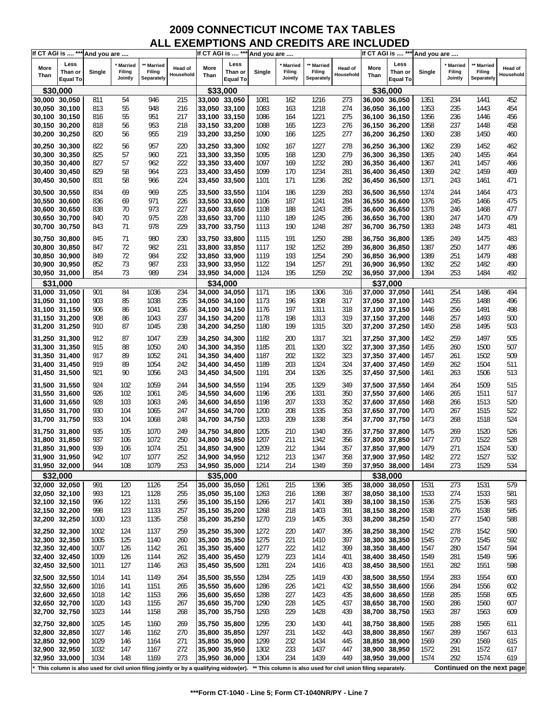| If CT AGI is  *** And you are  |                                    |              |                                |                                                                                       |                      |                                | If CT AGI is  *** And you are      |              |                                     |                                    |                                                                |               | If CT AGI is  *** And you are      |              |                                     |                                    |                      |
|--------------------------------|------------------------------------|--------------|--------------------------------|---------------------------------------------------------------------------------------|----------------------|--------------------------------|------------------------------------|--------------|-------------------------------------|------------------------------------|----------------------------------------------------------------|---------------|------------------------------------|--------------|-------------------------------------|------------------------------------|----------------------|
| More<br>Than                   | Less<br>Than or<br><b>Equal To</b> | Single       | ' Married<br>Filing<br>Jointly | <b>Married</b><br>Filing<br>Separately                                                | Head of<br>Household | More<br>Than                   | Less<br>Than or<br><b>Equal To</b> | Single       | <b>Married</b><br>Filing<br>Jointly | ** Married<br>Filing<br>Separately | Head of<br>Household                                           | More<br>Than  | Less<br>Than or<br><b>Equal To</b> | Single       | <b>Married</b><br>Filing<br>Jointly | ** Married<br>Filing<br>Separately | Head of<br>Household |
|                                | \$30,000                           |              |                                |                                                                                       |                      |                                | \$33,000                           |              |                                     |                                    |                                                                |               | \$36,000                           |              |                                     |                                    |                      |
| 30,000 30,050                  |                                    | 811          | 54                             | 946                                                                                   | 215                  | 33,000 33,050                  |                                    | 1081         | 162                                 | 1216                               | 273                                                            |               | 36,000 36,050                      | 1351         | 234                                 | 1441                               | 452                  |
| 30,050 30,100                  |                                    | 813          | 55                             | 948                                                                                   | 216                  | 33,050 33,100                  |                                    | 1083         | 163                                 | 1218                               | 274                                                            |               | 36,050 36,100                      | 1353         | 235                                 | 1443                               | 454                  |
| 30,100 30,150                  |                                    | 816          | 55                             | 951                                                                                   | 217                  | 33,100 33,150                  |                                    | 1086         | 164                                 | 1221                               | 275                                                            |               | 36,100 36,150                      | 1356         | 236                                 | 1446                               | 456                  |
| 30,150 30,200                  |                                    | 818          | 56                             | 953                                                                                   | 218                  | 33,150 33,200                  |                                    | 1088         | 165                                 | 1223                               | 276                                                            |               | 36,150 36,200                      | 1358         | 237                                 | 1448                               | 458                  |
| 30,200 30,250                  |                                    | 820          | 56                             | 955                                                                                   | 219                  | 33,200 33,250                  |                                    | 1090         | 166                                 | 1225                               | 277                                                            |               | 36,200 36,250                      | 1360         | 238                                 | 1450                               | 460                  |
|                                |                                    |              |                                |                                                                                       |                      |                                |                                    |              |                                     |                                    |                                                                |               |                                    |              |                                     |                                    |                      |
| 30,250 30,300                  |                                    | 822          | 56                             | 957                                                                                   | 220                  | 33,250 33,300                  |                                    | 1092         | 167                                 | 1227                               | 278                                                            |               | 36,250 36,300                      | 1362         | 239                                 | 1452                               | 462                  |
| 30,300 30,350                  |                                    | 825          | 57                             | 960                                                                                   | 221                  | 33,300 33,350                  |                                    | 1095         | 168                                 | 1230                               | 279                                                            |               | 36,300 36,350                      | 1365         | 240                                 | 1455                               | 464                  |
| 30,350 30,400                  |                                    | 827          | 57                             | 962                                                                                   | 222                  | 33,350 33,400                  |                                    | 1097         | 169                                 | 1232                               | 280                                                            |               | 36,350 36,400                      | 1367         | 241                                 | 1457                               | 466                  |
| 30,400 30,450                  |                                    | 829          | 58<br>58                       | 964                                                                                   | 223                  | 33,400 33,450                  |                                    | 1099         | 170                                 | 1234<br>1236                       | 281                                                            |               | 36,400 36,450                      | 1369         | 242                                 | 1459                               | 469                  |
| 30,450 30,500                  |                                    | 831          |                                | 966                                                                                   | 224                  | 33,450 33,500                  |                                    | 1101         | 171                                 |                                    | 282                                                            |               | 36,450 36,500                      | 1371         | 243                                 | 1461                               | 471                  |
| 30,500 30,550                  |                                    | 834          | 69                             | 969                                                                                   | 225                  | 33,500 33,550                  |                                    | 1104         | 186                                 | 1239                               | 283                                                            |               | 36,500 36,550                      | 1374         | 244                                 | 1464                               | 473                  |
| 30,550 30,600                  |                                    | 836          | 69                             | 971                                                                                   | 226                  | 33,550 33,600                  |                                    | 1106         | 187                                 | 1241                               | 284                                                            |               | 36,550 36,600                      | 1376         | 245                                 | 1466                               | 475                  |
| 30,600 30,650                  |                                    | 838          | 70                             | 973                                                                                   | 227                  | 33,600 33,650                  |                                    | 1108         | 188                                 | 1243                               | 285                                                            |               | 36,600 36,650                      | 1378         | 246                                 | 1468                               | 477                  |
| 30,650 30,700                  |                                    | 840          | 70                             | 975                                                                                   | 228                  | 33,650 33,700                  |                                    | 1110         | 189                                 | 1245                               | 286                                                            |               | 36,650 36,700                      | 1380         | 247                                 | 1470                               | 479                  |
| 30,700 30,750                  |                                    | 843          | 71                             | 978                                                                                   | 229                  | 33,700 33,750                  |                                    | 1113         | 190                                 | 1248                               | 287                                                            |               | 36,700 36,750                      | 1383         | 248                                 | 1473                               | 481                  |
| 30,750 30,800                  |                                    | 845          | 71                             | 980                                                                                   | 230                  | 33,750 33,800                  |                                    | 1115         | 191                                 | 1250                               | 288                                                            | 36,750 36,800 |                                    | 1385         | 249                                 | 1475                               | 483                  |
| 30,800 30,850                  |                                    | 847          | 72                             | 982                                                                                   | 231                  | 33,800 33,850                  |                                    | 1117         | 192                                 | 1252                               | 289                                                            |               | 36,800 36,850                      | 1387         | 250                                 | 1477                               | 486                  |
| 30,850 30,900                  |                                    | 849          | 72                             | 984                                                                                   | 232                  | 33,850 33,900                  |                                    | 1119         | 193                                 | 1254                               | 290                                                            |               | 36,850 36,900                      | 1389         | 251                                 | 1479                               | 488                  |
| 30,900 30,950                  |                                    | 852          | 73                             | 987                                                                                   | 233                  | 33,900 33,950                  |                                    | 1122         | 194                                 | 1257                               | 291                                                            |               | 36,900 36,950                      | 1392         | 252                                 | 1482                               | 490                  |
| 30,950 31,000                  |                                    | 854          | 73                             | 989                                                                                   | 234                  | 33,950 34,000                  |                                    | 1124         | 195                                 | 1259                               | 292                                                            | 36,950 37,000 |                                    | 1394         | 253                                 | 1484                               | 492                  |
|                                | \$31,000                           |              |                                |                                                                                       |                      |                                | \$34,000                           |              |                                     |                                    |                                                                |               | \$37,000                           |              |                                     |                                    |                      |
| 31,000 31,050                  |                                    | 901          | 84                             | 1036                                                                                  | 234                  | 34,000 34,050                  |                                    | 1171         | 195                                 | 1306                               | 316                                                            |               | 37,000 37,050                      | 1441         | 254                                 | 1486                               | 494                  |
| 31,050 31,100                  |                                    | 903          | 85                             | 1038                                                                                  | 235                  | 34,050 34,100                  |                                    | 1173         | 196                                 | 1308                               | 317                                                            |               | 37,050 37,100                      | 1443         | 255                                 | 1488                               | 496                  |
| 31,100 31,150                  |                                    | 906          | 86                             | 1041                                                                                  | 236                  | 34,100 34,150                  |                                    | 1176         | 197                                 | 1311                               | 318                                                            |               | 37,100 37,150                      | 1446         | 256                                 | 1491                               | 498                  |
| 31,150 31,200                  |                                    | 908          | 86                             | 1043                                                                                  | 237                  | 34,150 34,200                  |                                    | 1178         | 198                                 | 1313                               | 319                                                            |               | 37,150 37,200                      | 1448         | 257                                 | 1493                               | 500                  |
| 31,200 31,250                  |                                    | 910          | 87                             | 1045                                                                                  | 238                  | 34,200 34,250                  |                                    | 1180         | 199                                 | 1315                               | 320                                                            | 37,200 37,250 |                                    | 1450         | 258                                 | 1495                               | 503                  |
|                                |                                    |              |                                |                                                                                       |                      |                                |                                    |              |                                     |                                    |                                                                |               |                                    |              |                                     |                                    |                      |
| 31,250 31,300                  |                                    | 912          | 87                             | 1047                                                                                  | 239                  | 34,250 34,300                  |                                    | 1182         | 200                                 | 1317                               | 321                                                            |               | 37,250 37,300                      | 1452         | 259                                 | 1497                               | 505                  |
| 31,300 31,350                  |                                    | 915          | 88                             | 1050                                                                                  | 240                  | 34,300 34,350                  |                                    | 1185         | 201                                 | 1320                               | 322                                                            |               | 37,300 37,350                      | 1455         | 260                                 | 1500                               | 507                  |
| 31,350 31,400                  |                                    | 917          | 89                             | 1052                                                                                  | 241                  | 34,350 34,400                  |                                    | 1187         | 202                                 | 1322                               | 323                                                            |               | 37,350 37,400                      | 1457         | 261                                 | 1502                               | 509                  |
| 31,400 31,450                  |                                    | 919          | 89                             | 1054                                                                                  | 242                  | 34,400 34,450                  |                                    | 1189         | 203                                 | 1324                               | 324                                                            |               | 37,400 37,450                      | 1459         | 262                                 | 1504                               | 511                  |
| 31,450 31,500                  |                                    | 921          | 90                             | 1056                                                                                  | 243                  | 34,450 34,500                  |                                    | 1191         | 204                                 | 1326                               | 325                                                            |               | 37,450 37,500                      | 1461         | 263                                 | 1506                               | 513                  |
| 31,500 31,550                  |                                    | 924          | 102                            | 1059                                                                                  | 244                  | 34,500 34,550                  |                                    | 1194         | 205                                 | 1329                               | 349                                                            | 37,500 37,550 |                                    | 1464         | 264                                 | 1509                               | 515                  |
| 31,550 31,600                  |                                    | 926          | 102                            | 1061                                                                                  | 245                  | 34,550 34,600                  |                                    | 1196         | 206                                 | 1331                               | 350                                                            | 37,550 37,600 |                                    | 1466         | 265                                 | 1511                               | 517                  |
| 31,600 31,650                  |                                    | 928          | 103                            | 1063                                                                                  | 246                  | 34,600 34,650                  |                                    | 1198         | 207                                 | 1333                               | 352                                                            |               | 37,600 37,650                      | 1468         | 266                                 | 1513                               | 520                  |
| 31,650 31,700                  |                                    | 930          | 104                            | 1065                                                                                  | 247                  | 34,650 34,700                  |                                    | 1200         | 208                                 | 1335                               | 353                                                            |               | 37,650 37,700                      | 1470         | 267                                 | 1515                               | 522                  |
| 31,700 31,750                  |                                    | 933          | 104                            | 1068                                                                                  | 248                  | 34,700 34,750                  |                                    | 1203         | 209                                 | 1338                               | 354                                                            |               | 37,700 37,750                      | 1473         | 268                                 | 1518                               | 524                  |
| 31,750 31,800                  |                                    | 935          | 105                            | 1070                                                                                  | 249                  | 34,750 34,800                  |                                    | 1205         | 210                                 | 1340                               | 355                                                            |               | 37,750 37,800                      | 1475         | 269                                 | 1520                               | 526                  |
| 31,800 31,850                  |                                    | 937          | 106                            | 1072                                                                                  | 250                  | 34,800 34,850                  |                                    | 1207         | 211                                 | 1342                               | 356                                                            |               | 37,800 37,850                      | 1477         | 270                                 | 1522                               | 528                  |
| 31,850 31,900                  |                                    | 939          | 106                            | 1074                                                                                  | 251                  | 34,850 34,900                  |                                    | 1209         | 212                                 | 1344                               | 357                                                            |               | 37,850 37,900                      | 1479         | 271                                 | 1524                               | 530                  |
| 31,900 31,950                  |                                    | 942          | 107                            | 1077                                                                                  | 252                  | 34,900 34,950                  |                                    | 1212         | 213                                 | 1347                               | 358                                                            |               | 37,900 37,950                      | 1482         | 272                                 | 1527                               | 532                  |
| 31,950 32,000                  |                                    | 944          | 108                            | 1079                                                                                  | 253                  | 34,950 35,000                  |                                    | 1214         | 214                                 | 1349                               | 359                                                            | 37,950 38,000 |                                    | 1484         | 273                                 | 1529                               | 534                  |
|                                | \$32,000                           |              |                                |                                                                                       |                      |                                | \$35,000                           |              |                                     |                                    |                                                                |               | \$38,000                           |              |                                     |                                    |                      |
|                                |                                    |              |                                |                                                                                       |                      |                                |                                    |              |                                     |                                    |                                                                |               |                                    |              |                                     |                                    |                      |
| 32,000 32,050                  |                                    | 991<br>993   | 120                            | 1126                                                                                  | 254                  | 35,000 35,050                  |                                    | 1261         | 215                                 | 1396<br>1398                       | 385                                                            |               | 38,000 38,050                      | 1531         | 273<br>274                          | 1531<br>1533                       | 579                  |
| 32,050 32,100<br>32,100 32,150 |                                    | 996          | 121<br>122                     | 1128<br>1131                                                                          | 255<br>256           | 35,050 35,100<br>35,100 35,150 |                                    | 1263<br>1266 | 216<br>217                          | 1401                               | 387<br>389                                                     |               | 38,050 38,100<br>38,100 38,150     | 1533<br>1536 | 275                                 | 1536                               | 581<br>583           |
| 32,150 32,200                  |                                    | 998          | 123                            | 1133                                                                                  | 257                  | 35,150 35,200                  |                                    | 1268         | 218                                 | 1403                               | 391                                                            | 38,150 38,200 |                                    | 1538         | 276                                 | 1538                               | 585                  |
| 32,200 32,250                  |                                    | 1000         | 123                            | 1135                                                                                  | 258                  | 35,200 35,250                  |                                    | 1270         | 219                                 | 1405                               | 393                                                            |               | 38,200 38,250                      | 1540         | 277                                 | 1540                               | 588                  |
|                                |                                    |              |                                |                                                                                       |                      |                                |                                    |              |                                     |                                    |                                                                |               |                                    |              |                                     |                                    |                      |
| 32,250 32,300                  |                                    | 1002         | 124                            | 1137                                                                                  | 259                  | 35,250 35,300                  |                                    | 1272         | 220                                 | 1407                               | 395                                                            |               | 38,250 38,300                      | 1542         | 278                                 | 1542                               | 590                  |
| 32,300 32,350                  |                                    | 1005         | 125                            | 1140                                                                                  | 260                  | 35,300 35,350                  |                                    | 1275         | 221                                 | 1410                               | 397                                                            |               | 38,300 38,350                      | 1545         | 279                                 | 1545                               | 592                  |
| 32,350 32,400                  |                                    | 1007         | 126                            | 1142                                                                                  | 261                  | 35,350 35,400                  |                                    | 1277         | 222                                 | 1412                               | 399                                                            |               | 38,350 38,400                      | 1547         | 280                                 | 1547                               | 594                  |
| 32,400 32,450                  |                                    | 1009         | 126                            | 1144                                                                                  | 262                  | 35,400 35,450                  |                                    | 1279         | 223                                 | 1414                               | 401                                                            |               | 38,400 38,450                      | 1549         | 281                                 | 1549                               | 596                  |
| 32,450 32,500                  |                                    | 1011         | 127                            | 1146                                                                                  | 263                  | 35,450 35,500                  |                                    | 1281         | 224                                 | 1416                               | 403                                                            |               | 38,450 38,500                      | 1551         | 282                                 | 1551                               | 598                  |
| 32,500 32,550                  |                                    | 1014         | 141                            | 1149                                                                                  | 264                  | 35,500 35,550                  |                                    | 1284         | 225                                 | 1419                               | 430                                                            | 38,500 38,550 |                                    | 1554         | 283                                 | 1554                               | 600                  |
| 32,550 32,600                  |                                    | 1016         | 141                            | 1151                                                                                  | 265                  | 35,550 35,600                  |                                    | 1286         | 226                                 | 1421                               | 432                                                            | 38,550 38,600 |                                    | 1556         | 284                                 | 1556                               | 602                  |
| 32,600 32,650                  |                                    | 1018         | 142                            | 1153                                                                                  | 266                  | 35,600 35,650                  |                                    | 1288         | 227                                 | 1423                               | 435                                                            |               | 38,600 38,650                      | 1558         | 285                                 | 1558                               | 605                  |
| 32,650 32,700                  |                                    | 1020         | 143                            | 1155                                                                                  | 267                  | 35,650 35,700                  |                                    | 1290         | 228                                 | 1425                               | 437                                                            |               | 38,650 38,700                      | 1560         | 286                                 | 1560                               | 607                  |
| 32,700 32,750                  |                                    | 1023         | 144                            | 1158                                                                                  | 268                  | 35,700 35,750                  |                                    | 1293         | 229                                 | 1428                               | 439                                                            |               | 38,700 38,750                      | 1563         | 287                                 | 1563                               | 609                  |
| 32,750 32,800                  |                                    | 1025         | 145                            | 1160                                                                                  | 269                  | 35,750 35,800                  |                                    | 1295         | 230                                 | 1430                               |                                                                |               | 38,750 38,800                      | 1565         | 288                                 | 1565                               | 611                  |
| 32,800 32,850                  |                                    | 1027         | 146                            | 1162                                                                                  | 270                  | 35,800 35,850                  |                                    | 1297         | 231                                 | 1432                               | 441                                                            | 38,800 38,850 |                                    | 1567         | 289                                 | 1567                               | 613                  |
|                                |                                    |              |                                |                                                                                       |                      |                                |                                    |              |                                     |                                    | 443                                                            |               |                                    |              |                                     | 1569                               |                      |
| 32,850 32,900<br>32,900 32,950 |                                    | 1029<br>1032 | 146<br>147                     | 1164<br>1167                                                                          | 271<br>272           | 35,850 35,900<br>35,900 35,950 |                                    | 1299<br>1302 | 232<br>233                          | 1434<br>1437                       | 445                                                            |               | 38,850 38,900<br>38,900 38,950     | 1569<br>1572 | 290<br>291                          | 1572                               | 615<br>617           |
| 32,950 33,000                  |                                    | 1034         | 148                            | 1169                                                                                  | 273                  | 35,950 36,000                  |                                    | 1304         | 234                                 | 1439                               | 447<br>449                                                     | 38,950 39,000 |                                    | 1574         | 292                                 | 1574                               | 619                  |
|                                |                                    |              |                                |                                                                                       |                      |                                |                                    |              |                                     |                                    |                                                                |               |                                    |              |                                     |                                    |                      |
|                                |                                    |              |                                | This column is also used for civil union filing jointly or by a qualifying widow(er). |                      |                                |                                    |              |                                     |                                    | ** This column is also used for civil union filing separately. |               |                                    |              |                                     | Continued on the next page         |                      |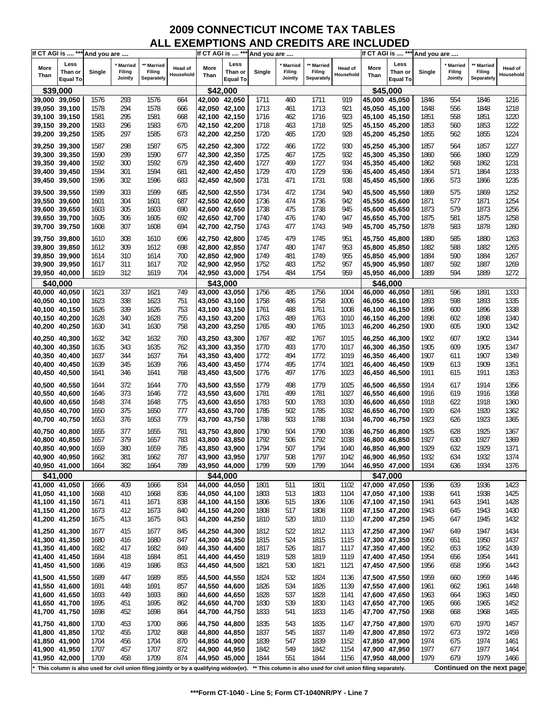| If CT AGI is  *** And you are  |                                    |              |                                |                                                                                       |                             |                                |                             | If CT AGI is  *** And you are |                                     |                                    |                                                                |                                | If CT AGI is  *** And you are      |              |                              |                                    |                      |
|--------------------------------|------------------------------------|--------------|--------------------------------|---------------------------------------------------------------------------------------|-----------------------------|--------------------------------|-----------------------------|-------------------------------|-------------------------------------|------------------------------------|----------------------------------------------------------------|--------------------------------|------------------------------------|--------------|------------------------------|------------------------------------|----------------------|
| More<br>Than                   | Less<br>Than or<br><b>Equal To</b> | Single       | ' Married<br>Filing<br>Jointly | ** Married<br>Filing<br>Separately                                                    | <b>Head of</b><br>Household | More<br>Than                   | Less<br>Than or<br>Equal To | Single                        | <b>Married</b><br>Filing<br>Jointly | ** Married<br>Filing<br>Separately | Head of<br>Household                                           | More<br>Than                   | Less<br>Than or<br><b>Equal To</b> | Single       | Married<br>Filing<br>Jointly | ** Married<br>Filing<br>Separately | Head of<br>Household |
|                                | \$39,000                           |              |                                |                                                                                       |                             |                                | \$42,000                    |                               |                                     |                                    |                                                                |                                | \$45.000                           |              |                              |                                    |                      |
| 39,000 39,050                  |                                    | 1576         | 293                            | 1576                                                                                  | 664                         | 42,000 42,050                  |                             | 1711                          | 460                                 | 1711                               | 919                                                            |                                | 45,000 45,050                      | 1846         | 554                          | 1846                               | 1216                 |
| 39,050 39,100                  |                                    | 1578         | 294                            | 1578                                                                                  | 666                         | 42,050 42,100                  |                             | 1713                          | 461                                 | 1713                               | 921                                                            |                                | 45,050 45,100                      | 1848         | 556                          | 1848                               | 1218                 |
| 39,100 39,150                  |                                    | 1581         | 295                            | 1581                                                                                  | 668                         | 42,100 42,150                  |                             | 1716                          | 462                                 | 1716                               | 923                                                            |                                | 45,100 45,150                      | 1851         | 558                          | 1851                               | 1220                 |
| 39,150 39,200                  |                                    | 1583         | 296                            | 1583                                                                                  | 670                         | 42,150 42,200                  |                             | 1718                          | 463                                 | 1718                               | 925                                                            |                                | 45,150 45,200                      | 1853         | 560                          | 1853                               | 1222                 |
| 39,200 39,250                  |                                    | 1585         | 297                            | 1585                                                                                  | 673                         | 42,200 42,250                  |                             | 1720                          | 465                                 | 1720                               | 928                                                            |                                | 45,200 45,250                      | 1855         | 562                          | 1855                               | 1224                 |
| 39,250 39,300                  |                                    | 1587         | 298                            | 1587                                                                                  | 675                         | 42,250 42,300                  |                             | 1722                          | 466                                 | 1722                               | 930                                                            |                                | 45,250 45,300                      | 1857         | 564                          | 1857                               | 1227                 |
| 39,300 39,350                  |                                    | 1590         | 299                            | 1590                                                                                  | 677                         | 42,300 42,350                  |                             | 1725                          | 467                                 | 1725                               | 932                                                            | 45,300 45,350                  |                                    | 1860         | 566                          | 1860                               | 1229                 |
| 39,350 39,400                  |                                    | 1592         | 300                            | 1592                                                                                  | 679                         | 42,350 42,400                  |                             | 1727                          | 469                                 | 1727                               | 934                                                            |                                | 45,350 45,400                      | 1862         | 568                          | 1862                               | 1231                 |
| 39,400 39,450                  |                                    | 1594         | 301                            | 1594                                                                                  | 681                         | 42,400 42,450                  |                             | 1729                          | 470                                 | 1729                               | 936                                                            |                                | 45,400 45,450                      | 1864         | 571                          | 1864                               | 1233                 |
| 39,450 39,500                  |                                    | 1596         | 302                            | 1596                                                                                  | 683                         | 42,450 42,500                  |                             | 1731                          | 471                                 | 1731                               | 938                                                            |                                | 45,450 45,500                      | 1866         | 573                          | 1866                               | 1235                 |
| 39,500 39,550                  |                                    | 1599         | 303                            | 1599                                                                                  | 685                         | 42,500 42,550                  |                             | 1734                          | 472                                 | 1734                               | 940                                                            |                                | 45,500 45,550                      | 1869         | 575                          | 1869                               | 1252                 |
| 39,550 39,600                  |                                    | 1601         | 304                            | 1601                                                                                  | 687                         | 42,550 42,600                  |                             | 1736                          | 474                                 | 1736                               | 942                                                            |                                | 45,550 45,600                      | 1871         | 577                          | 1871                               | 1254                 |
| 39,600 39,650                  |                                    | 1603         | 305                            | 1603                                                                                  | 690                         | 42,600 42,650                  |                             | 1738                          | 475                                 | 1738                               | 945                                                            | 45,600 45,650                  |                                    | 1873         | 579                          | 1873                               | 1256                 |
| 39,650 39,700                  |                                    | 1605         | 306                            | 1605                                                                                  | 692                         | 42,650 42,700                  |                             | 1740                          | 476                                 | 1740                               | 947                                                            |                                | 45,650 45,700                      | 1875         | 581                          | 1875                               | 1258                 |
| 39,700 39,750                  |                                    | 1608         | 307                            | 1608                                                                                  | 694                         | 42,700 42,750                  |                             | 1743                          | 477                                 | 1743                               | 949                                                            |                                | 45,700 45,750                      | 1878         | 583                          | 1878                               | 1260                 |
| 39,750 39,800                  |                                    | 1610         | 308                            | 1610                                                                                  | 696                         | 42,750 42,800                  |                             | 1745                          | 479                                 | 1745                               | 951                                                            |                                | 45,750 45,800                      | 1880         | 585                          | 1880                               | 1263                 |
| 39,800 39,850                  |                                    | 1612         | 309                            | 1612                                                                                  | 698                         | 42,800 42,850                  |                             | 1747                          | 480                                 | 1747                               | 953                                                            |                                | 45,800 45,850                      | 1882         | 588                          | 1882                               | 1265                 |
| 39,850 39,900                  |                                    | 1614         | 310                            | 1614                                                                                  | 700                         | 42,850 42,900                  |                             | 1749                          | 481                                 | 1749                               | 955                                                            |                                | 45,850 45,900                      | 1884         | 590                          | 1884                               | 1267                 |
| 39,900 39,950                  |                                    | 1617         | 311                            | 1617                                                                                  | 702                         | 42,900 42,950                  |                             | 1752                          | 483                                 | 1752                               | 957                                                            |                                | 45,900 45,950                      | 1887         | 592                          | 1887                               | 1269                 |
| 39,950 40,000                  |                                    | 1619         | 312                            | 1619                                                                                  | 704                         | 42,950 43,000                  |                             | 1754                          | 484                                 | 1754                               | 959                                                            | 45,950 46,000                  |                                    | 1889         | 594                          | 1889                               | 1272                 |
|                                | \$40,000                           |              |                                |                                                                                       |                             |                                | \$43,000                    |                               |                                     |                                    |                                                                |                                | \$46,000                           |              |                              |                                    |                      |
| 40,000 40,050                  |                                    | 1621         | 337                            | 1621                                                                                  | 749                         | 43,000 43,050                  |                             | 1756                          | 485                                 | 1756                               | 1004                                                           |                                | 46.000 46.050                      | 1891         | 596                          | 1891                               | 1333                 |
| 40,050 40,100                  |                                    | 1623<br>1626 | 338<br>339                     | 1623<br>1626                                                                          | 751<br>753                  | 43,050 43,100                  |                             | 1758                          | 486<br>488                          | 1758<br>1761                       | 1006                                                           |                                | 46,050 46,100                      | 1893<br>1896 | 598                          | 1893<br>1896                       | 1335<br>1338         |
| 40,100 40,150<br>40,150 40,200 |                                    | 1628         | 340                            | 1628                                                                                  | 755                         | 43,100 43,150<br>43,150 43,200 |                             | 1761<br>1763                  | 489                                 | 1763                               | 1008<br>1010                                                   |                                | 46,100 46,150<br>46,150 46,200     | 1898         | 600<br>602                   | 1898                               | 1340                 |
| 40,200 40,250                  |                                    | 1630         | 341                            | 1630                                                                                  | 758                         | 43,200 43,250                  |                             | 1765                          | 490                                 | 1765                               | 1013                                                           | 46,200 46,250                  |                                    | 1900         | 605                          | 1900                               | 1342                 |
|                                |                                    |              |                                |                                                                                       |                             |                                |                             |                               |                                     |                                    |                                                                |                                |                                    |              |                              |                                    |                      |
| 40,250 40,300                  |                                    | 1632         | 342                            | 1632                                                                                  | 760                         | 43,250 43,300                  |                             | 1767                          | 492                                 | 1767                               | 1015                                                           |                                | 46,250 46,300                      | 1902         | 607<br>609                   | 1902                               | 1344                 |
| 40,300 40,350<br>40,350 40,400 |                                    | 1635<br>1637 | 343<br>344                     | 1635<br>1637                                                                          | 762<br>764                  | 43,300 43,350<br>43,350 43,400 |                             | 1770<br>1772                  | 493<br>494                          | 1770<br>1772                       | 1017<br>1019                                                   |                                | 46,300 46,350<br>46,350 46,400     | 1905<br>1907 | 611                          | 1905<br>1907                       | 1347<br>1349         |
| 40,400 40,450                  |                                    | 1639         | 345                            | 1639                                                                                  | 766                         | 43,400 43,450                  |                             | 1774                          | 495                                 | 1774                               | 1021                                                           |                                | 46,400 46,450                      | 1909         | 613                          | 1909                               | 1351                 |
| 40,450 40,500                  |                                    | 1641         | 346                            | 1641                                                                                  | 768                         | 43,450 43,500                  |                             | 1776                          | 497                                 | 1776                               | 1023                                                           |                                | 46,450 46,500                      | 1911         | 615                          | 1911                               | 1353                 |
|                                |                                    |              |                                |                                                                                       |                             |                                |                             |                               |                                     |                                    |                                                                |                                |                                    |              |                              |                                    |                      |
| 40,500 40,550<br>40,550 40,600 |                                    | 1644         | 372                            | 1644                                                                                  | 770                         | 43,500 43,550                  |                             | 1779                          | 498                                 | 1779<br>1781                       | 1025                                                           | 46,500 46,550<br>46,550 46,600 |                                    | 1914         | 617                          | 1914                               | 1356                 |
| 40,600 40,650                  |                                    | 1646<br>1648 | 373<br>374                     | 1646<br>1648                                                                          | 772<br>775                  | 43,550 43,600<br>43,600 43,650 |                             | 1781<br>1783                  | 499<br>500                          | 1783                               | 1027<br>1030                                                   | 46,600 46,650                  |                                    | 1916<br>1918 | 619<br>622                   | 1916<br>1918                       | 1358<br>1360         |
| 40,650 40,700                  |                                    | 1650         | 375                            | 1650                                                                                  | 777                         | 43,650 43,700                  |                             | 1785                          | 502                                 | 1785                               | 1032                                                           |                                | 46,650 46,700                      | 1920         | 624                          | 1920                               | 1362                 |
| 40,700 40,750                  |                                    | 1653         | 376                            | 1653                                                                                  | 779                         | 43,700 43,750                  |                             | 1788                          | 503                                 | 1788                               | 1034                                                           |                                | 46,700 46,750                      | 1923         | 626                          | 1923                               | 1365                 |
|                                |                                    |              |                                |                                                                                       |                             |                                |                             |                               |                                     |                                    |                                                                |                                |                                    |              |                              |                                    |                      |
| 40,750 40,800<br>40,800 40,850 |                                    | 1655<br>1657 | 377<br>379                     | 1655<br>1657                                                                          | 781<br>783                  | 43,750 43,800<br>43,800 43,850 |                             | 1790<br>1792                  | 504<br>506                          | 1790<br>1792                       | 1036<br>1038                                                   |                                | 46,750 46,800<br>46,800 46,850     | 1925<br>1927 | 628<br>630                   | 1925<br>1927                       | 1367<br>1369         |
| 40,850 40,900                  |                                    | 1659         | 380                            | 1659                                                                                  | 785                         | 43,850 43,900                  |                             | 1794                          | 507                                 | 1794                               | 1040                                                           | 46,850 46,900                  |                                    | 1929         | 632                          | 1929                               | 1371                 |
| 40,900 40,950                  |                                    | 1662         | 381                            | 1662                                                                                  | 787                         | 43,900 43,950                  |                             | 1797                          | 508                                 | 1797                               | 1042                                                           |                                | 46,900 46,950                      | 1932         | 634                          | 1932                               | 1374                 |
| 40,950 41,000                  |                                    | 1664         | 382                            | 1664                                                                                  | 789                         | 43,950 44,000                  |                             | 1799                          | 509                                 | 1799                               | 1044                                                           | 46,950 47,000                  |                                    | 1934         | 636                          | 1934                               | 1376                 |
|                                | \$41,000                           |              |                                |                                                                                       |                             |                                | \$44,000                    |                               |                                     |                                    |                                                                |                                | \$47,000                           |              |                              |                                    |                      |
| 41,000 41,050                  |                                    | 1666         | 409                            | 1666                                                                                  | 834                         | 44,000 44,050                  |                             | 1801                          | 511                                 | 1801                               | 1102                                                           |                                | 47,000 47,050                      | 1936         | 639                          | 1936                               | 1423                 |
| 41,050 41,100                  |                                    | 1668         | 410                            | 1668                                                                                  | 836                         | 44,050 44,100                  |                             | 1803                          | 513                                 | 1803                               | 1104                                                           |                                | 47,050 47,100                      | 1938         | 641                          | 1938                               | 1425                 |
| 41,100 41,150                  |                                    | 1671         | 411                            | 1671                                                                                  | 838                         | 44,100 44,150                  |                             | 1806                          | 515                                 | 1806                               | 1106                                                           | 47,100 47,150                  |                                    | 1941         | 643                          | 1941                               | 1428                 |
| 41,150 41,200                  |                                    | 1673         | 412                            | 1673                                                                                  | 840                         | 44,150 44,200                  |                             | 1808                          | 517                                 | 1808                               | 1108                                                           |                                | 47,150 47,200                      | 1943         | 645                          | 1943                               | 1430                 |
| 41,200 41,250                  |                                    | 1675         | 413                            | 1675                                                                                  | 843                         | 44,200 44,250                  |                             | 1810                          | 520                                 | 1810                               | 1110                                                           | 47,200 47,250                  |                                    | 1945         | 647                          | 1945                               | 1432                 |
| 41,250 41,300                  |                                    | 1677         | 415                            | 1677                                                                                  | 845                         | 44,250 44,300                  |                             | 1812                          | 522                                 | 1812                               | 1113                                                           | 47,250 47,300                  |                                    | 1947         | 649                          | 1947                               | 1434                 |
| 41,300 41,350                  |                                    | 1680         | 416                            | 1680                                                                                  | 847                         | 44,300 44,350                  |                             | 1815                          | 524                                 | 1815                               | 1115                                                           |                                | 47,300 47,350                      | 1950         | 651                          | 1950                               | 1437                 |
| 41,350 41,400                  |                                    | 1682         | 417                            | 1682                                                                                  | 849                         | 44,350 44,400                  |                             | 1817                          | 526                                 | 1817                               | 1117                                                           |                                | 47,350 47,400                      | 1952         | 653                          | 1952                               | 1439                 |
| 41,400 41,450                  |                                    | 1684         | 418                            | 1684                                                                                  | 851                         | 44,400 44,450                  |                             | 1819                          | 528                                 | 1819                               | 1119                                                           | 47,400 47,450                  |                                    | 1954         | 656                          | 1954                               | 1441                 |
| 41,450 41,500                  |                                    | 1686         | 419                            | 1686                                                                                  | 853                         | 44,450 44,500                  |                             | 1821                          | 530                                 | 1821                               | 1121                                                           |                                | 47,450 47,500                      | 1956         | 658                          | 1956                               | 1443                 |
| 41,500 41,550                  |                                    | 1689         | 447                            | 1689                                                                                  | 855                         | 44,500 44,550                  |                             | 1824                          | 532                                 | 1824                               | 1136                                                           | 47,500 47,550                  |                                    | 1959         | 660                          | 1959                               | 1446                 |
| 41,550 41,600                  |                                    | 1691         | 448                            | 1691                                                                                  | 857                         | 44,550 44,600                  |                             | 1826                          | 534                                 | 1826                               | 1139                                                           | 47,550 47,600                  |                                    | 1961         | 662                          | 1961                               | 1448                 |
| 41,600 41,650                  |                                    | 1693         | 449                            | 1693                                                                                  | 860                         | 44,600 44,650                  |                             | 1828                          | 537                                 | 1828                               | 1141                                                           |                                | 47,600 47,650                      | 1963         | 664                          | 1963                               | 1450                 |
| 41,650 41,700                  |                                    | 1695         | 451                            | 1695                                                                                  | 862                         | 44,650 44,700                  |                             | 1830                          | 539                                 | 1830                               | 1143                                                           | 47,650 47,700                  |                                    | 1965         | 666                          | 1965                               | 1452                 |
| 41,700 41,750                  |                                    | 1698         | 452                            | 1698                                                                                  | 864                         | 44,700 44,750                  |                             | 1833                          | 541                                 | 1833                               | 1145                                                           | 47,700 47,750                  |                                    | 1968         | 668                          | 1968                               | 1455                 |
| 41,750 41,800                  |                                    | 1700         | 453                            | 1700                                                                                  | 866                         | 44,750 44,800                  |                             | 1835                          | 543                                 | 1835                               | 1147                                                           | 47,750 47,800                  |                                    | 1970         | 670                          | 1970                               | 1457                 |
| 41,800 41,850                  |                                    | 1702         | 455                            | 1702                                                                                  | 868                         | 44,800 44,850                  |                             | 1837                          | 545                                 | 1837                               | 1149                                                           |                                | 47,800 47,850                      | 1972         | 673                          | 1972                               | 1459                 |
| 41,850 41,900                  |                                    | 1704         | 456                            | 1704                                                                                  | 870                         | 44,850 44,900                  |                             | 1839                          | 547                                 | 1839                               | 1152                                                           |                                | 47,850 47,900                      | 1974         | 675                          | 1974                               | 1461                 |
| 41,900 41,950                  |                                    | 1707         | 457                            | 1707                                                                                  | 872                         | 44,900 44,950                  |                             | 1842                          | 549                                 | 1842                               | 1154                                                           | 47,900 47,950                  |                                    | 1977         | 677                          | 1977                               | 1464                 |
| 41,950 42,000                  |                                    | 1709         | 458                            | 1709                                                                                  | 874                         | 44,950 45,000                  |                             | 1844                          | 551                                 | 1844                               | 1156                                                           |                                | 47,950 48,000                      | 1979         | 679                          | 1979                               | 1466                 |
|                                |                                    |              |                                | This column is also used for civil union filing jointly or by a qualifying widow(er). |                             |                                |                             |                               |                                     |                                    | ** This column is also used for civil union filing separately. |                                |                                    |              |                              | Continued on the next page         |                      |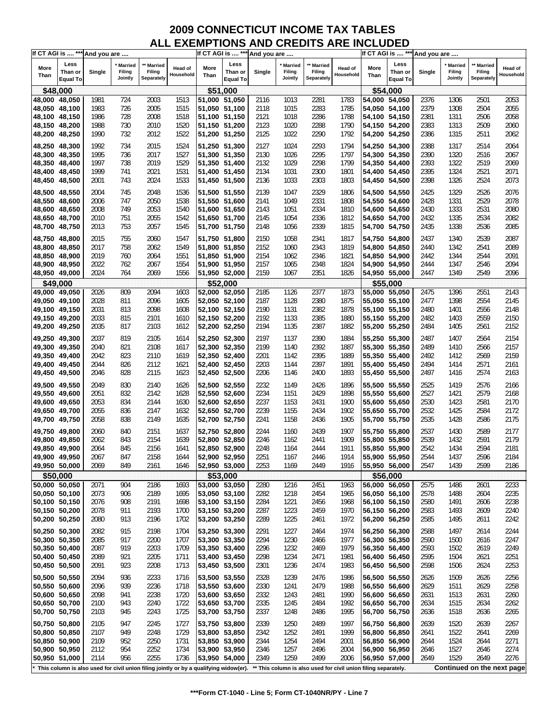| If CT AGI is  *** And you are |                                    |        |                              |                                                                                         |                             |               | If CT AGI is  *** And you are      |        |                                                                |                                    |                      |               | If CT AGI is  *** And you are      |        |                              |                                 |                      |
|-------------------------------|------------------------------------|--------|------------------------------|-----------------------------------------------------------------------------------------|-----------------------------|---------------|------------------------------------|--------|----------------------------------------------------------------|------------------------------------|----------------------|---------------|------------------------------------|--------|------------------------------|---------------------------------|----------------------|
| More<br>Than                  | Less<br>Than or<br><b>Equal To</b> | Single | Married<br>Filing<br>Jointly | ** Married<br>Filing<br>Separately                                                      | <b>Head of</b><br>Household | More<br>Than  | Less<br>Than or<br><b>Equal To</b> | Single | <b>Married</b><br>Filing<br>Jointly                            | ** Married<br>Filing<br>Separately | Head of<br>Household | More<br>Than  | Less<br>Than or<br><b>Equal To</b> | Single | Married<br>Filing<br>Jointly | Married<br>Filing<br>Separately | Head of<br>Household |
| \$48,000                      |                                    |        |                              |                                                                                         |                             |               | \$51,000                           |        |                                                                |                                    |                      |               | \$54,000                           |        |                              |                                 |                      |
| 48,000 48,050                 |                                    | 1981   | 724                          | 2003                                                                                    | 1513                        | 51,000 51,050 |                                    | 2116   | 1013                                                           | 2281                               | 1783                 | 54,000 54,050 |                                    | 2376   | 1306                         | 2501                            | 2053                 |
| 48,050 48,100                 |                                    | 1983   | 726                          | 2005                                                                                    | 1515                        | 51,050 51,100 |                                    | 2118   | 1015                                                           | 2283                               | 1785                 | 54,050 54,100 |                                    | 2379   | 1308                         | 2504                            | 2055                 |
| 48,100 48,150                 |                                    | 1986   | 728                          | 2008                                                                                    | 1518                        | 51,100 51,150 |                                    | 2121   | 1018                                                           | 2286                               | 1788                 |               | 54,100 54,150                      | 2381   | 1311                         | 2506                            | 2058                 |
| 48,150 48,200                 |                                    | 1988   | 730                          | 2010                                                                                    | 1520                        | 51,150 51,200 |                                    | 2123   | 1020                                                           | 2288                               | 1790                 |               | 54,150 54,200                      | 2383   | 1313                         | 2509                            | 2060                 |
| 48,200 48,250                 |                                    | 1990   | 732                          | 2012                                                                                    | 1522                        | 51,200 51,250 |                                    | 2125   | 1022                                                           | 2290                               | 1792                 |               | 54,200 54,250                      | 2386   | 1315                         | 2511                            | 2062                 |
| 48,250 48,300                 |                                    | 1992   | 734                          | 2015                                                                                    | 1524                        | 51,250 51,300 |                                    | 2127   | 1024                                                           | 2293                               | 1794                 | 54,250 54,300 |                                    | 2388   | 1317                         | 2514                            | 2064                 |
| 48,300 48,350                 |                                    | 1995   | 736                          | 2017                                                                                    | 1527                        | 51,300 51,350 |                                    | 2130   | 1026                                                           | 2295                               | 1797                 |               | 54,300 54,350                      | 2390   | 1320                         | 2516                            | 2067                 |
| 48,350 48,400                 |                                    | 1997   | 738                          | 2019                                                                                    | 1529                        | 51,350 51,400 |                                    | 2132   | 1029                                                           | 2298                               | 1799                 |               | 54,350 54,400                      | 2393   | 1322                         | 2519                            | 2069                 |
| 48,400 48,450                 |                                    | 1999   | 741                          | 2021                                                                                    | 1531                        | 51,400 51,450 |                                    | 2134   | 1031                                                           | 2300                               | 1801                 |               | 54,400 54,450                      | 2395   | 1324                         | 2521                            | 2071                 |
| 48,450 48,500                 |                                    | 2001   | 743                          | 2024                                                                                    | 1533                        | 51,450 51,500 |                                    | 2136   | 1033                                                           | 2303                               | 1803                 |               | 54,450 54,500                      | 2398   | 1326                         | 2524                            | 2073                 |
| 48,500 48,550                 |                                    | 2004   | 745                          | 2048                                                                                    | 1536                        | 51,500 51,550 |                                    | 2139   | 1047                                                           | 2329                               | 1806                 |               | 54,500 54,550                      | 2425   | 1329                         | 2526                            | 2076                 |
| 48,550 48,600                 |                                    | 2006   | 747                          | 2050                                                                                    | 1538                        | 51,550 51,600 |                                    | 2141   | 1049                                                           | 2331                               | 1808                 |               | 54,550 54,600                      | 2428   | 1331                         | 2529                            | 2078                 |
| 48,600 48,650                 |                                    | 2008   | 749                          | 2053                                                                                    | 1540                        | 51,600 51,650 |                                    | 2143   | 1051                                                           | 2334                               | 1810                 |               | 54,600 54,650                      | 2430   | 1333                         | 2531                            | 2080                 |
| 48,650 48,700                 |                                    | 2010   | 751                          | 2055                                                                                    | 1542                        | 51,650 51,700 |                                    | 2145   | 1054                                                           | 2336                               | 1812                 |               | 54,650 54,700                      | 2432   | 1335                         | 2534                            | 2082                 |
| 48,700 48,750                 |                                    | 2013   | 753                          | 2057                                                                                    | 1545                        | 51,700 51,750 |                                    | 2148   | 1056                                                           | 2339                               | 1815                 |               | 54,700 54,750                      | 2435   | 1338                         | 2536                            | 2085                 |
| 48,750 48,800                 |                                    | 2015   | 755                          | 2060                                                                                    | 1547                        | 51,750 51,800 |                                    | 2150   | 1058                                                           | 2341                               | 1817                 | 54,750 54,800 |                                    | 2437   | 1340                         | 2539                            | 2087                 |
| 48,800 48,850                 |                                    | 2017   | 758                          | 2062                                                                                    | 1549                        | 51,800 51,850 |                                    | 2152   | 1060                                                           | 2343                               | 1819                 |               | 54.800 54.850                      | 2440   | 1342                         | 2541                            | 2089                 |
| 48,850 48,900                 |                                    | 2019   | 760                          | 2064                                                                                    | 1551                        | 51,850 51,900 |                                    | 2154   | 1062                                                           | 2346                               | 1821                 |               | 54,850 54,900                      | 2442   | 1344                         | 2544                            | 2091                 |
| 48,900 48,950                 |                                    | 2022   | 762                          | 2067                                                                                    | 1554                        | 51,900 51,950 |                                    | 2157   | 1065                                                           | 2348                               | 1824                 |               | 54,900 54,950                      | 2444   | 1347                         | 2546                            | 2094                 |
| 48,950 49,000                 |                                    | 2024   | 764                          | 2069                                                                                    | 1556                        | 51,950 52,000 |                                    | 2159   | 1067                                                           | 2351                               | 1826                 |               | 54,950 55,000                      | 2447   | 1349                         | 2549                            | 2096                 |
|                               | \$49,000                           |        |                              |                                                                                         |                             |               | \$52,000                           |        |                                                                |                                    |                      |               | \$55,000                           |        |                              |                                 |                      |
| 49,000 49,050                 |                                    | 2026   | 809                          | 2094                                                                                    | 1603                        | 52,000 52,050 |                                    | 2185   | 1126                                                           | 2377                               | 1873                 | 55,000 55,050 |                                    | 2475   | 1396                         | 2551                            | 2143                 |
| 49,050 49,100                 |                                    | 2028   | 811                          | 2096                                                                                    | 1605                        | 52,050 52,100 |                                    | 2187   | 1128                                                           | 2380                               | 1875                 | 55,050 55,100 |                                    | 2477   | 1398                         | 2554                            | 2145                 |
| 49,100 49,150                 |                                    | 2031   | 813                          | 2098                                                                                    | 1608                        | 52,100 52,150 |                                    | 2190   | 1131                                                           | 2382                               | 1878                 |               | 55,100 55,150                      | 2480   | 1401                         | 2556                            | 2148                 |
| 49,150 49,200                 |                                    | 2033   | 815                          | 2101                                                                                    | 1610                        | 52,150 52,200 |                                    | 2192   | 1133                                                           | 2385                               | 1880                 |               | 55,150 55,200                      | 2482   | 1403                         | 2559                            | 2150                 |
| 49,200 49,250                 |                                    | 2035   | 817                          | 2103                                                                                    | 1612                        | 52,200 52,250 |                                    | 2194   | 1135                                                           | 2387                               | 1882                 | 55,200 55,250 |                                    | 2484   | 1405                         | 2561                            | 2152                 |
| 49,250 49,300                 |                                    | 2037   | 819                          | 2105                                                                                    | 1614                        | 52,250 52,300 |                                    | 2197   | 1137                                                           | 2390                               | 1884                 |               | 55,250 55,300                      | 2487   | 1407                         | 2564                            | 2154                 |
| 49,300 49,350                 |                                    | 2040   | 821                          | 2108                                                                                    | 1617                        | 52,300 52,350 |                                    | 2199   | 1140                                                           | 2392                               | 1887                 | 55,300 55,350 |                                    | 2489   | 1410                         | 2566                            | 2157                 |
| 49,350 49,400                 |                                    | 2042   | 823                          | 2110                                                                                    | 1619                        | 52,350 52,400 |                                    | 2201   | 1142                                                           | 2395                               | 1889                 |               | 55,350 55,400                      | 2492   | 1412                         | 2569                            | 2159                 |
| 49,400 49,450                 |                                    | 2044   | 826                          | 2112                                                                                    | 1621                        | 52,400 52,450 |                                    | 2203   | 1144                                                           | 2397                               | 1891                 |               | 55,400 55,450                      | 2494   | 1414                         | 2571                            | 2161                 |
| 49,450 49,500                 |                                    | 2046   | 828                          | 2115                                                                                    | 1623                        | 52,450 52,500 |                                    | 2206   | 1146                                                           | 2400                               | 1893                 |               | 55,450 55,500                      | 2497   | 1416                         | 2574                            | 2163                 |
| 49,500 49,550                 |                                    | 2049   | 830                          | 2140                                                                                    | 1626                        | 52,500 52,550 |                                    | 2232   | 1149                                                           | 2426                               | 1896                 | 55,500 55,550 |                                    | 2525   | 1419                         | 2576                            | 2166                 |
| 49,550 49,600                 |                                    | 2051   | 832                          | 2142                                                                                    | 1628                        | 52,550 52,600 |                                    | 2234   | 1151                                                           | 2429                               | 1898                 | 55,550 55,600 |                                    | 2527   | 1421                         | 2579                            | 2168                 |
| 49,600 49,650                 |                                    | 2053   | 834                          | 2144                                                                                    | 1630                        | 52,600 52,650 |                                    | 2237   | 1153                                                           | 2431                               | 1900                 |               | 55,600 55,650                      | 2530   | 1423                         | 2581                            | 2170                 |
| 49,650 49,700                 |                                    | 2055   | 836                          | 2147                                                                                    | 1632                        | 52,650 52,700 |                                    | 2239   | 1155                                                           | 2434                               | 1902                 |               | 55,650 55,700                      | 2532   | 1425                         | 2584                            | 2172                 |
| 49,700 49,750                 |                                    | 2058   | 838                          | 2149                                                                                    | 1635                        | 52,700 52,750 |                                    | 2241   | 1158                                                           | 2436                               | 1905                 |               | 55,700 55,750                      | 2535   | 1428                         | 2586                            | 2175                 |
| 49,750 49,800                 |                                    | 2060   | 840                          | 2151                                                                                    | 1637                        | 52,750 52,800 |                                    | 2244   | 1160                                                           | 2439                               | 1907                 |               | 55,750 55,800                      | 2537   | 1430                         | 2589                            | 2177                 |
| 49,800 49,850                 |                                    | 2062   | 843                          | 2154                                                                                    | 1639                        | 52,800 52,850 |                                    | 2246   | 1162                                                           | 2441                               | 1909                 |               | 55,800 55,850                      | 2539   | 1432                         | 2591                            | 2179                 |
| 49,850 49,900                 |                                    | 2064   | 845                          | 2156                                                                                    | 1641                        | 52,850 52,900 |                                    | 2248   | 1164                                                           | 2444                               | 1911                 |               | 55,850 55,900                      | 2542   | 1434                         | 2594                            | 2181                 |
| 49,900 49,950                 |                                    | 2067   | 847                          | 2158                                                                                    | 1644                        | 52,900 52,950 |                                    | 2251   | 1167                                                           | 2446                               | 1914                 | 55,900 55,950 |                                    | 2544   | 1437                         | 2596                            | 2184                 |
| 49,950 50,000                 |                                    | 2069   | 849                          | 2161                                                                                    | 1646                        | 52,950 53,000 |                                    | 2253   | 1169                                                           | 2449                               | 1916                 | 55,950 56,000 |                                    | 2547   | 1439                         | 2599                            | 2186                 |
| \$50,000                      |                                    |        |                              |                                                                                         |                             |               | \$53,000                           |        |                                                                |                                    |                      |               | \$56,000                           |        |                              |                                 |                      |
| 50,000 50,050                 |                                    | 2071   | 904                          | 2186                                                                                    | 1693                        | 53,000 53,050 |                                    | 2280   | 1216                                                           | 2451                               | 1963                 |               | 56,000 56,050                      | 2575   | 1486                         | 2601                            | 2233                 |
| 50,050 50,100                 |                                    | 2073   | 906                          | 2189                                                                                    | 1695                        | 53,050 53,100 |                                    | 2282   | 1218                                                           | 2454                               | 1965                 |               | 56,050 56,100                      | 2578   | 1488                         | 2604                            | 2235                 |
| 50,100 50,150                 |                                    | 2076   | 908                          | 2191                                                                                    | 1698                        | 53,100 53,150 |                                    | 2284   | 1221                                                           | 2456                               | 1968                 |               | 56,100 56,150                      | 2580   | 1491                         | 2606                            | 2238                 |
| 50,150 50,200                 |                                    | 2078   | 911                          | 2193                                                                                    | 1700                        | 53,150 53,200 |                                    | 2287   | 1223                                                           | 2459                               | 1970                 |               | 56,150 56,200                      | 2583   | 1493                         | 2609                            | 2240                 |
| 50,200 50,250                 |                                    | 2080   | 913                          | 2196                                                                                    | 1702                        | 53,200 53,250 |                                    | 2289   | 1225                                                           | 2461                               | 1972                 |               | 56,200 56,250                      | 2585   | 1495                         | 2611                            | 2242                 |
| 50,250 50,300                 |                                    | 2082   | 915                          | 2198                                                                                    | 1704                        | 53,250 53,300 |                                    | 2291   | 1227                                                           | 2464                               | 1974                 |               | 56,250 56,300                      | 2588   | 1497                         | 2614                            | 2244                 |
| 50,300 50,350                 |                                    | 2085   | 917                          | 2200                                                                                    | 1707                        | 53,300 53,350 |                                    | 2294   | 1230                                                           | 2466                               | 1977                 |               | 56,300 56,350                      | 2590   | 1500                         | 2616                            | 2247                 |
| 50,350 50,400                 |                                    | 2087   | 919                          | 2203                                                                                    | 1709                        | 53,350 53,400 |                                    | 2296   | 1232                                                           | 2469                               | 1979                 | 56,350 56,400 |                                    | 2593   | 1502                         | 2619                            | 2249                 |
| 50,400 50,450                 |                                    | 2089   | 921                          | 2205                                                                                    | 1711                        | 53,400 53,450 |                                    | 2298   | 1234                                                           | 2471                               | 1981                 |               | 56,400 56,450                      | 2595   | 1504                         | 2621                            | 2251                 |
| 50,450 50,500                 |                                    | 2091   | 923                          | 2208                                                                                    | 1713                        | 53,450 53,500 |                                    | 2301   | 1236                                                           | 2474                               | 1983                 |               | 56,450 56,500                      | 2598   | 1506                         | 2624                            | 2253                 |
| 50,500 50,550                 |                                    | 2094   | 936                          | 2233                                                                                    | 1716                        | 53,500 53,550 |                                    | 2328   | 1239                                                           | 2476                               | 1986                 | 56,500 56,550 |                                    | 2626   | 1509                         | 2626                            | 2256                 |
| 50,550 50,600                 |                                    | 2096   | 939                          | 2236                                                                                    | 1718                        | 53,550 53,600 |                                    | 2330   | 1241                                                           | 2479                               | 1988                 |               | 56,550 56,600                      | 2629   | 1511                         | 2629                            | 2258                 |
| 50,600 50,650                 |                                    | 2098   | 941                          | 2238                                                                                    | 1720                        | 53,600 53,650 |                                    | 2332   | 1243                                                           | 2481                               | 1990                 |               | 56,600 56,650                      | 2631   | 1513                         | 2631                            | 2260                 |
| 50,650 50,700                 |                                    | 2100   | 943                          | 2240                                                                                    | 1722                        | 53,650 53,700 |                                    | 2335   | 1245                                                           | 2484                               | 1992                 |               | 56,650 56,700                      | 2634   | 1515                         | 2634                            | 2262                 |
| 50,700 50,750                 |                                    | 2103   | 945                          | 2243                                                                                    | 1725                        | 53,700 53,750 |                                    | 2337   | 1248                                                           | 2486                               | 1995                 | 56,700 56,750 |                                    | 2636   | 1518                         | 2636                            | 2265                 |
| 50,750 50,800                 |                                    | 2105   | 947                          | 2245                                                                                    | 1727                        | 53,750 53,800 |                                    | 2339   | 1250                                                           | 2489                               | 1997                 |               | 56,750 56,800                      | 2639   | 1520                         | 2639                            | 2267                 |
| 50,800 50,850                 |                                    | 2107   | 949                          | 2248                                                                                    | 1729                        | 53,800 53,850 |                                    | 2342   | 1252                                                           | 2491                               | 1999                 |               | 56,800 56,850                      | 2641   | 1522                         | 2641                            | 2269                 |
| 50,850 50,900                 |                                    | 2109   | 952                          | 2250                                                                                    | 1731                        | 53,850 53,900 |                                    | 2344   | 1254                                                           | 2494                               | 2001                 |               | 56,850 56,900                      | 2644   | 1524                         | 2644                            | 2271                 |
| 50,900 50,950                 |                                    | 2112   | 954                          | 2252                                                                                    | 1734                        | 53,900 53,950 |                                    | 2346   | 1257                                                           | 2496                               | 2004                 | 56,900 56,950 |                                    | 2646   | 1527                         | 2646                            | 2274                 |
| 50,950 51,000                 |                                    | 2114   | 956                          | 2255                                                                                    | 1736                        | 53,950 54,000 |                                    | 2349   | 1259                                                           | 2499                               | 2006                 | 56,950 57,000 |                                    | 2649   | 1529                         | 2649                            | 2276                 |
|                               |                                    |        |                              | * This column is also used for civil union filing jointly or by a qualifying widow(er). |                             |               |                                    |        | ** This column is also used for civil union filing separately. |                                    |                      |               |                                    |        |                              | Continued on the next page      |                      |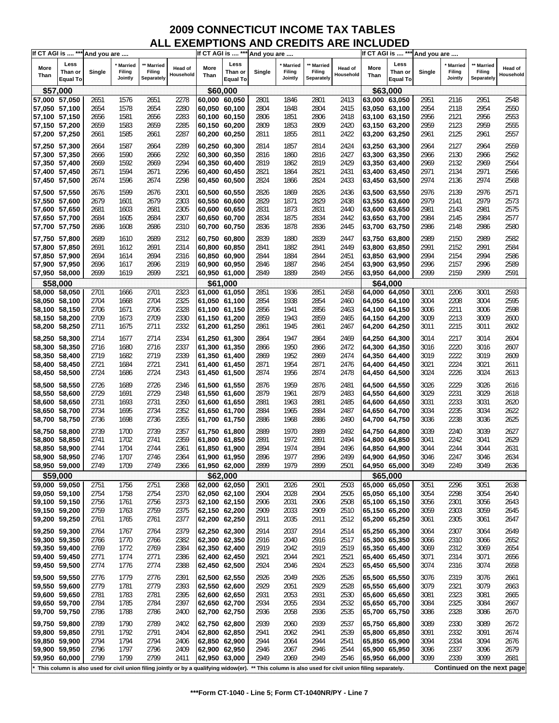|               |                            | If CT AGI is  *** And you are |                   |                                                                                                                                                      |                |               | If CT AGI is  *** And you are |        |                     |                      |           |                                | If CT AGI is  *** And you are |        |                          |                            |           |
|---------------|----------------------------|-------------------------------|-------------------|------------------------------------------------------------------------------------------------------------------------------------------------------|----------------|---------------|-------------------------------|--------|---------------------|----------------------|-----------|--------------------------------|-------------------------------|--------|--------------------------|----------------------------|-----------|
| More          | Less                       |                               | Married<br>Filing | ** Married<br>Filing                                                                                                                                 | <b>Head of</b> | More          | Less                          |        | * Married<br>Filing | ** Married<br>Filing | Head of   | More                           | Less                          |        | <b>Married</b><br>Filing | * Married<br>Filing        | Head of   |
| Than          | Than or<br><b>Equal To</b> | Single                        | Jointly           | Separately                                                                                                                                           | Household      | Than          | Than or<br>Equal To           | Single | Jointly             | Separately           | Household | Than                           | Than or<br><b>Equal To</b>    | Single | Jointly                  | Separately                 | Household |
| \$57,000      |                            |                               |                   |                                                                                                                                                      |                |               | \$60,000                      |        |                     |                      |           |                                | \$63,000                      |        |                          |                            |           |
| 57,000 57,050 |                            | 2651                          | 1576              | 2651                                                                                                                                                 | 2278           | 60,000 60,050 |                               | 2801   | 1846                | 2801                 | 2413      |                                | 63,000 63,050                 | 2951   | 2116                     | 2951                       | 2548      |
| 57,050 57,100 |                            | 2654                          | 1578              | 2654                                                                                                                                                 | 2280           | 60,050 60,100 |                               | 2804   | 1848                | 2804                 | 2415      |                                | 63,050 63,100                 | 2954   | 2118                     | 2954                       | 2550      |
| 57,100 57,150 |                            | 2656                          | 1581              | 2656                                                                                                                                                 | 2283           | 60,100 60,150 |                               | 2806   | 1851                | 2806                 | 2418      | 63,100 63,150                  |                               | 2956   | 2121                     | 2956                       | 2553      |
| 57,150 57,200 |                            | 2659                          | 1583              | 2659                                                                                                                                                 | 2285           | 60,150 60,200 |                               | 2809   | 1853                | 2809                 | 2420      |                                | 63,150 63,200                 | 2959   | 2123                     | 2959                       | 2555      |
| 57,200 57,250 |                            | 2661                          | 1585              | 2661                                                                                                                                                 | 2287           | 60,200 60,250 |                               | 2811   | 1855                | 2811                 | 2422      |                                | 63,200 63,250                 | 2961   | 2125                     | 2961                       | 2557      |
| 57,250 57,300 |                            | 2664                          | 1587              | 2664                                                                                                                                                 | 2289           | 60,250 60,300 |                               | 2814   | 1857                | 2814                 | 2424      |                                | 63,250 63,300                 | 2964   | 2127                     | 2964                       | 2559      |
| 57,300 57,350 |                            | 2666                          | 1590              | 2666                                                                                                                                                 | 2292           | 60,300 60,350 |                               | 2816   | 1860                | 2816                 | 2427      | 63,300 63,350                  |                               | 2966   | 2130                     | 2966                       | 2562      |
| 57,350 57,400 |                            |                               | 1592              |                                                                                                                                                      | 2294           |               |                               |        | 1862                | 2819                 | 2429      | 63,350 63,400                  |                               | 2969   | 2132                     |                            | 2564      |
|               |                            | 2669                          |                   | 2669                                                                                                                                                 |                | 60,350 60,400 |                               | 2819   |                     |                      |           |                                |                               |        |                          | 2969                       |           |
| 57,400 57,450 |                            | 2671                          | 1594              | 2671                                                                                                                                                 | 2296           | 60,400 60,450 |                               | 2821   | 1864                | 2821                 | 2431      |                                | 63,400 63,450                 | 2971   | 2134                     | 2971                       | 2566      |
| 57,450 57,500 |                            | 2674                          | 1596              | 2674                                                                                                                                                 | 2298           | 60,450 60,500 |                               | 2824   | 1866                | 2824                 | 2433      |                                | 63,450 63,500                 | 2974   | 2136                     | 2974                       | 2568      |
| 57,500 57,550 |                            | 2676                          | 1599              | 2676                                                                                                                                                 | 2301           | 60,500 60,550 |                               | 2826   | 1869                | 2826                 | 2436      | 63,500 63,550                  |                               | 2976   | 2139                     | 2976                       | 2571      |
| 57,550 57,600 |                            | 2679                          | 1601              | 2679                                                                                                                                                 | 2303           | 60,550 60,600 |                               | 2829   | 1871                | 2829                 | 2438      |                                | 63,550 63,600                 | 2979   | 2141                     | 2979                       | 2573      |
| 57,600 57,650 |                            | 2681                          | 1603              | 2681                                                                                                                                                 | 2305           | 60,600 60,650 |                               | 2831   | 1873                | 2831                 | 2440      | 63,600 63,650                  |                               | 2981   | 2143                     | 2981                       | 2575      |
| 57,650 57,700 |                            | 2684                          | 1605              | 2684                                                                                                                                                 | 2307           | 60,650 60,700 |                               | 2834   | 1875                | 2834                 | 2442      |                                | 63,650 63,700                 | 2984   | 2145                     | 2984                       | 2577      |
| 57,700 57,750 |                            | 2686                          | 1608              | 2686                                                                                                                                                 | 2310           | 60,700 60,750 |                               | 2836   | 1878                | 2836                 | 2445      |                                | 63,700 63,750                 | 2986   | 2148                     | 2986                       | 2580      |
|               |                            |                               |                   |                                                                                                                                                      |                |               |                               |        |                     |                      |           |                                |                               |        |                          |                            |           |
| 57,750 57,800 |                            | 2689                          | 1610              | 2689                                                                                                                                                 | 2312           | 60,750 60,800 |                               | 2839   | 1880                | 2839                 | 2447      |                                | 63,750 63,800                 | 2989   | 2150                     | 2989                       | 2582      |
| 57,800 57,850 |                            | 2691                          | 1612              | 2691                                                                                                                                                 | 2314           | 60,800 60,850 |                               | 2841   | 1882                | 2841                 | 2449      |                                | 63,800 63,850                 | 2991   | 2152                     | 2991                       | 2584      |
| 57,850 57,900 |                            | 2694                          | 1614              | 2694                                                                                                                                                 | 2316           | 60,850 60,900 |                               | 2844   | 1884                | 2844                 | 2451      | 63,850 63,900                  |                               | 2994   | 2154                     | 2994                       | 2586      |
| 57,900 57,950 |                            | 2696                          | 1617              | 2696                                                                                                                                                 | 2319           | 60,900 60,950 |                               | 2846   | 1887                | 2846                 | 2454      |                                | 63,900 63,950                 | 2996   | 2157                     | 2996                       | 2589      |
| 57,950 58,000 |                            | 2699                          | 1619              | 2699                                                                                                                                                 | 2321           | 60,950 61,000 |                               | 2849   | 1889                | 2849                 | 2456      |                                | 63,950 64,000                 | 2999   | 2159                     | 2999                       | 2591      |
|               | \$58,000                   |                               |                   |                                                                                                                                                      |                |               | \$61,000                      |        |                     |                      |           |                                | \$64.000                      |        |                          |                            |           |
| 58,000 58,050 |                            | 2701                          | 1666              | 2701                                                                                                                                                 | 2323           | 61,000 61,050 |                               | 2851   | 1936                | 2851                 | 2458      | 64.000 64.050                  |                               | 3001   | 2206                     | 3001                       | 2593      |
| 58,050 58,100 |                            | 2704                          | 1668              | 2704                                                                                                                                                 | 2325           | 61,050 61,100 |                               | 2854   | 1938                | 2854                 | 2460      |                                | 64,050 64,100                 | 3004   | 2208                     | 3004                       | 2595      |
| 58,100 58,150 |                            | 2706                          | 1671              | 2706                                                                                                                                                 | 2328           | 61,100 61,150 |                               | 2856   | 1941                | 2856                 | 2463      |                                | 64,100 64,150                 | 3006   | 2211                     | 3006                       | 2598      |
| 58,150 58,200 |                            | 2709                          | 1673              | 2709                                                                                                                                                 | 2330           | 61,150 61,200 |                               | 2859   | 1943                | 2859                 | 2465      |                                | 64,150 64,200                 | 3009   | 2213                     | 3009                       | 2600      |
| 58,200 58,250 |                            | 2711                          | 1675              | 2711                                                                                                                                                 | 2332           | 61,200 61,250 |                               | 2861   | 1945                | 2861                 | 2467      | 64,200 64,250                  |                               | 3011   | 2215                     | 3011                       | 2602      |
|               |                            |                               |                   |                                                                                                                                                      |                |               |                               |        |                     |                      |           |                                |                               |        |                          |                            |           |
| 58,250 58,300 |                            | 2714                          | 1677              | 2714                                                                                                                                                 | 2334           | 61,250 61,300 |                               | 2864   | 1947                | 2864                 | 2469      |                                | 64,250 64,300                 | 3014   | 2217                     | 3014                       | 2604      |
| 58,300 58,350 |                            | 2716                          | 1680              | 2716                                                                                                                                                 | 2337           | 61,300 61,350 |                               | 2866   | 1950                | 2866                 | 2472      |                                | 64,300 64,350                 | 3016   | 2220                     | 3016                       | 2607      |
| 58,350 58,400 |                            | 2719                          | 1682              | 2719                                                                                                                                                 | 2339           | 61,350 61,400 |                               | 2869   | 1952                | 2869                 | 2474      | 64,350 64,400                  |                               | 3019   | 2222                     | 3019                       | 2609      |
| 58,400 58,450 |                            | 2721                          | 1684              | 2721                                                                                                                                                 | 2341           | 61,400 61,450 |                               | 2871   | 1954                | 2871                 | 2476      |                                | 64,400 64,450                 | 3021   | 2224                     | 3021                       | 2611      |
| 58,450 58,500 |                            | 2724                          | 1686              | 2724                                                                                                                                                 | 2343           | 61,450 61,500 |                               | 2874   | 1956                | 2874                 | 2478      |                                | 64,450 64,500                 | 3024   | 2226                     | 3024                       | 2613      |
| 58,500 58,550 |                            | 2726                          | 1689              | 2726                                                                                                                                                 | 2346           | 61,500 61,550 |                               | 2876   | 1959                | 2876                 | 2481      | 64,500 64,550                  |                               | 3026   | 2229                     | 3026                       | 2616      |
| 58,550 58,600 |                            | 2729                          | 1691              | 2729                                                                                                                                                 | 2348           | 61,550 61,600 |                               | 2879   | 1961                | 2879                 | 2483      | 64,550 64,600                  |                               | 3029   | 2231                     | 3029                       | 2618      |
| 58,600 58,650 |                            | 2731                          | 1693              | 2731                                                                                                                                                 | 2350           | 61,600 61,650 |                               | 2881   | 1963                | 2881                 | 2485      | 64,600 64,650                  |                               | 3031   | 2233                     | 3031                       | 2620      |
| 58,650 58,700 |                            | 2734                          | 1695              | 2734                                                                                                                                                 | 2352           | 61,650 61,700 |                               | 2884   | 1965                | 2884                 | 2487      |                                | 64,650 64,700                 | 3034   | 2235                     | 3034                       | 2622      |
| 58,700 58,750 |                            | 2736                          | 1698              | 2736                                                                                                                                                 | 2355           | 61,700 61,750 |                               | 2886   | 1968                | 2886                 | 2490      |                                | 64,700 64,750                 | 3036   | 2238                     | 3036                       | 2625      |
|               |                            |                               |                   |                                                                                                                                                      |                |               |                               |        |                     |                      |           |                                |                               |        |                          |                            |           |
| 58,750 58,800 |                            | 2739                          | 1700              | 2739                                                                                                                                                 | 2357           | 61,750 61,800 |                               | 2889   | 1970                | 2889                 | 2492      |                                | 64,750 64,800                 | 3039   | 2240                     | 3039                       | 2627      |
| 58,800 58,850 |                            | 2741                          | 1702              | 2741                                                                                                                                                 | 2359           | 61,800 61,850 |                               | 2891   | 1972                | 2891                 | 2494      |                                | 64,800 64,850                 | 3041   | 2242                     | 3041                       | 2629      |
| 58,850 58,900 |                            | 2744                          | 1704              | 2744                                                                                                                                                 | 2361           | 61,850 61,900 |                               | 2894   | 1974                | 2894                 | 2496      | 64,850 64,900                  |                               | 3044   | 2244                     | 3044                       | 2631      |
| 58,900 58,950 |                            | 2746                          | 1707              | 2746                                                                                                                                                 | 2364           | 61,900 61,950 |                               | 2896   | 1977                | 2896                 | 2499      | 64,900 64,950                  |                               | 3046   | 2247                     | 3046                       | 2634      |
| 58,950 59,000 |                            | 2749                          | 1709              | 2749                                                                                                                                                 | 2366           | 61,950 62,000 |                               | 2899   | 1979                | 2899                 | 2501      | 64,950 65,000                  |                               | 3049   | 2249                     | 3049                       | 2636      |
|               | \$59,000                   |                               |                   |                                                                                                                                                      |                |               | \$62,000                      |        |                     |                      |           |                                | \$65,000                      |        |                          |                            |           |
| 59,000 59,050 |                            | 2751                          | 1756              | 2751                                                                                                                                                 | 2368           | 62,000 62,050 |                               | 2901   | 2026                | 2901                 | 2503      | 65,000 65,050                  |                               | 3051   | 2296                     | 3051                       | 2638      |
| 59,050 59,100 |                            | 2754                          | 1758              | 2754                                                                                                                                                 | 2370           | 62,050 62,100 |                               | 2904   | 2028                | 2904                 | 2505      | 65,050 65,100                  |                               | 3054   | 2298                     | 3054                       | 2640      |
| 59,100 59,150 |                            | 2756                          | 1761              | 2756                                                                                                                                                 | 2373           | 62,100 62,150 |                               | 2906   | 2031                | 2906                 | 2508      | 65,100 65,150                  |                               | 3056   | 2301                     | 3056                       | 2643      |
| 59,150 59,200 |                            | 2759                          | 1763              | 2759                                                                                                                                                 | 2375           | 62,150 62,200 |                               | 2909   | 2033                | 2909                 | 2510      | 65,150 65,200                  |                               | 3059   | 2303                     | 3059                       | 2645      |
| 59,200 59,250 |                            | 2761                          | 1765              | 2761                                                                                                                                                 | 2377           | 62,200 62,250 |                               | 2911   | 2035                | 2911                 | 2512      | 65,200 65,250                  |                               | 3061   | 2305                     | 3061                       | 2647      |
|               |                            |                               |                   |                                                                                                                                                      |                |               |                               |        |                     |                      |           |                                |                               |        |                          |                            |           |
| 59,250 59,300 |                            | 2764                          | 1767<br>1770      | 2764                                                                                                                                                 | 2379           | 62,250 62,300 |                               | 2914   | 2037<br>2040        | 2914<br>2916         | 2514      | 65,250 65,300<br>65,300 65,350 |                               | 3064   | 2307<br>2310             | 3064                       | 2649      |
| 59,300 59,350 |                            | 2766                          |                   | 2766                                                                                                                                                 | 2382           | 62,300 62,350 |                               | 2916   |                     |                      | 2517      |                                |                               | 3066   |                          | 3066                       | 2652      |
| 59,350 59,400 |                            | 2769                          | 1772              | 2769                                                                                                                                                 | 2384           | 62,350 62,400 |                               | 2919   | 2042                | 2919                 | 2519      | 65,350 65,400                  |                               | 3069   | 2312                     | 3069                       | 2654      |
| 59,400 59,450 |                            | 2771                          | 1774              | 2771                                                                                                                                                 | 2386           | 62,400 62,450 |                               | 2921   | 2044                | 2921                 | 2521      | 65,400 65,450                  |                               | 3071   | 2314                     | 3071                       | 2656      |
| 59,450 59,500 |                            | 2774                          | 1776              | 2774                                                                                                                                                 | 2388           | 62,450 62,500 |                               | 2924   | 2046                | 2924                 | 2523      | 65,450 65,500                  |                               | 3074   | 2316                     | 3074                       | 2658      |
| 59,500 59,550 |                            | 2776                          | 1779              | 2776                                                                                                                                                 | 2391           | 62,500 62,550 |                               | 2926   | 2049                | 2926                 | 2526      | 65,500 65,550                  |                               | 3076   | 2319                     | 3076                       | 2661      |
| 59,550 59,600 |                            | 2779                          | 1781              | 2779                                                                                                                                                 | 2393           | 62,550 62,600 |                               | 2929   | 2051                | 2929                 | 2528      | 65,550 65,600                  |                               | 3079   | 2321                     | 3079                       | 2663      |
| 59,600 59,650 |                            | 2781                          | 1783              | 2781                                                                                                                                                 | 2395           | 62,600 62,650 |                               | 2931   | 2053                | 2931                 | 2530      | 65,600 65,650                  |                               | 3081   | 2323                     | 3081                       | 2665      |
| 59,650 59,700 |                            | 2784                          | 1785              | 2784                                                                                                                                                 | 2397           | 62,650 62,700 |                               | 2934   | 2055                | 2934                 | 2532      | 65,650 65,700                  |                               | 3084   | 2325                     | 3084                       | 2667      |
| 59,700 59,750 |                            | 2786                          | 1788              | 2786                                                                                                                                                 | 2400           | 62,700 62,750 |                               | 2936   | 2058                | 2936                 | 2535      | 65,700 65,750                  |                               | 3086   | 2328                     | 3086                       | 2670      |
|               |                            |                               |                   |                                                                                                                                                      |                |               |                               |        |                     |                      |           |                                |                               |        |                          |                            |           |
| 59,750 59,800 |                            | 2789                          | 1790              | 2789                                                                                                                                                 | 2402           | 62,750 62,800 |                               | 2939   | 2060                | 2939                 | 2537      |                                | 65,750 65,800                 | 3089   | 2330                     | 3089                       | 2672      |
| 59,800 59,850 |                            | 2791                          | 1792              | 2791                                                                                                                                                 | 2404           | 62,800 62,850 |                               | 2941   | 2062                | 2941                 | 2539      | 65,800 65,850                  |                               | 3091   | 2332                     | 3091                       | 2674      |
| 59,850 59,900 |                            | 2794                          | 1794              | 2794                                                                                                                                                 | 2406           | 62,850 62,900 |                               | 2944   | 2064                | 2944                 | 2541      | 65,850 65,900                  |                               | 3094   | 2334                     | 3094                       | 2676      |
| 59,900 59,950 |                            | 2796                          | 1797              | 2796                                                                                                                                                 | 2409           | 62,900 62,950 |                               | 2946   | 2067                | 2946                 | 2544      | 65,900 65,950                  |                               | 3096   | 2337                     | 3096                       | 2679      |
| 59,950 60,000 |                            | 2799                          | 1799              | 2799                                                                                                                                                 | 2411           | 62,950 63,000 |                               | 2949   | 2069                | 2949                 | 2546      | 65,950 66,000                  |                               | 3099   | 2339                     | 3099                       | 2681      |
|               |                            |                               |                   | This column is also used for civil union filing jointly or by a qualifying widow(er). ** This column is also used for civil union filing separately. |                |               |                               |        |                     |                      |           |                                |                               |        |                          | Continued on the next page |           |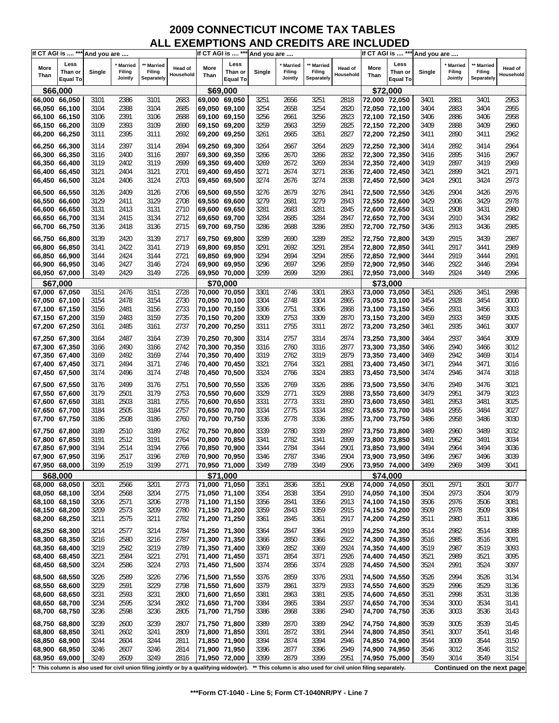| If CT AGI is  *** And you are  |                 |        |                |                                                                                       |                      |                                | If CT AGI is  *** And you are |        |         |            |                                                                |                                | If CT AGI is  *** And you are |              |                |                            |                      |
|--------------------------------|-----------------|--------|----------------|---------------------------------------------------------------------------------------|----------------------|--------------------------------|-------------------------------|--------|---------|------------|----------------------------------------------------------------|--------------------------------|-------------------------------|--------------|----------------|----------------------------|----------------------|
|                                | Less            |        | <b>Married</b> | ** Married                                                                            |                      |                                | Less                          |        | Married | * Married  |                                                                |                                | Less                          |              | <b>Married</b> | Married                    |                      |
| More                           | Than or         | Single | <b>Filing</b>  | Filing                                                                                | Head of<br>Household | More<br>Than                   | Than or                       | Single | Filing  | Filing     | Head of<br>Household                                           | More<br>Than                   | Than or                       | Single       | Filing         | Filing                     | Head of<br>Household |
| Than                           | <b>Equal To</b> |        | Jointly        | Separately                                                                            |                      |                                | <b>Equal To</b>               |        | Jointly | Separately |                                                                |                                | <b>Equal To</b>               |              | Jointly        | Separately                 |                      |
| \$66,000                       |                 |        |                |                                                                                       |                      |                                | \$69,000                      |        |         |            |                                                                |                                | \$72,000                      |              |                |                            |                      |
| 66,000 66,050                  |                 | 3101   | 2386           | 3101                                                                                  | 2683                 | 69,000 69,050                  |                               | 3251   | 2656    | 3251       | 2818                                                           | 72,000 72,050                  |                               | 3401         | 2881           | 3401                       | 2953                 |
| 66,050 66,100                  |                 | 3104   | 2388           | 3104                                                                                  | 2685                 | 69,050 69,100                  |                               | 3254   | 2658    | 3254       | 2820                                                           | 72,050 72,100                  |                               | 3404         | 2883           | 3404                       | 2955                 |
| 66,100 66,150                  |                 | 3106   | 2391           | 3106                                                                                  | 2688                 | 69,100 69,150                  |                               | 3256   | 2661    | 3256       | 2823                                                           | 72,100 72,150                  |                               | 3406         | 2886           | 3406                       | 2958                 |
| 66,150 66,200                  |                 | 3109   | 2393           | 3109                                                                                  | 2690                 | 69,150 69,200                  |                               | 3259   | 2663    | 3259       | 2825                                                           | 72,150 72,200                  |                               | 3409         | 2888           | 3409                       | 2960                 |
| 66,200 66,250                  |                 | 3111   | 2395           | 3111                                                                                  | 2692                 |                                |                               | 3261   | 2665    | 3261       | 2827                                                           | 72,200 72,250                  |                               | 3411         | 2890           | 3411                       | 2962                 |
|                                |                 |        |                |                                                                                       |                      | 69,200 69,250                  |                               |        |         |            |                                                                |                                |                               |              |                |                            |                      |
| 66,250 66,300                  |                 | 3114   | 2397           | 3114                                                                                  | 2694                 | 69,250 69,300                  |                               | 3264   | 2667    | 3264       | 2829                                                           |                                | 72,250 72,300                 | 3414         | 2892           | 3414                       | 2964                 |
| 66,300 66,350                  |                 | 3116   | 2400           | 3116                                                                                  | 2697                 | 69,300 69,350                  |                               | 3266   | 2670    | 3266       | 2832                                                           | 72,300 72,350                  |                               | 3416         | 2895           | 3416                       | 2967                 |
| 66,350 66,400                  |                 | 3119   | 2402           | 3119                                                                                  | 2699                 | 69,350 69,400                  |                               | 3269   | 2672    | 3269       | 2834                                                           | 72,350 72,400                  |                               | 3419         | 2897           | 3419                       | 2969                 |
| 66,400 66,450                  |                 | 3121   | 2404           | 3121                                                                                  | 2701                 | 69,400 69,450                  |                               | 3271   | 2674    | 3271       | 2836                                                           | 72,400 72,450                  |                               | 3421         | 2899           | 3421                       | 2971                 |
| 66,450 66,500                  |                 | 3124   | 2406           | 3124                                                                                  | 2703                 | 69,450 69,500                  |                               | 3274   | 2676    | 3274       | 2838                                                           | 72,450 72,500                  |                               | 3424         | 2901           | 3424                       | 2973                 |
|                                |                 |        |                |                                                                                       |                      |                                |                               |        |         |            |                                                                |                                |                               |              |                |                            |                      |
| 66,500 66,550                  |                 | 3126   | 2409           | 3126                                                                                  | 2706                 | 69,500 69,550                  |                               | 3276   | 2679    | 3276       | 2841                                                           | 72,500 72,550                  |                               | 3426         | 2904           | 3426                       | 2976                 |
| 66,550 66,600                  |                 | 3129   | 2411           | 3129                                                                                  | 2708                 | 69,550 69,600                  |                               | 3279   | 2681    | 3279       | 2843                                                           | 72,550 72,600                  |                               | 3429         | 2906           | 3429                       | 2978                 |
| 66,600 66,650                  |                 | 3131   | 2413           | 3131                                                                                  | 2710                 | 69,600 69,650                  |                               | 3281   | 2683    | 3281       | 2845                                                           | 72,600 72,650                  |                               | 3431         | 2908           | 3431                       | 2980                 |
| 66,650 66,700                  |                 | 3134   | 2415           | 3134                                                                                  | 2712                 | 69,650 69,700                  |                               | 3284   | 2685    | 3284       | 2847                                                           | 72,650 72,700                  |                               | 3434         | 2910           | 3434                       | 2982                 |
| 66,700 66,750                  |                 | 3136   | 2418           | 3136                                                                                  | 2715                 | 69,700 69,750                  |                               | 3286   | 2688    | 3286       | 2850                                                           |                                | 72,700 72,750                 | 3436         | 2913           | 3436                       | 2985                 |
| 66,750 66,800                  |                 | 3139   | 2420           | 3139                                                                                  | 2717                 | 69,750 69,800                  |                               | 3289   | 2690    | 3289       | 2852                                                           | 72,750 72,800                  |                               | 3439         | 2915           | 3439                       | 2987                 |
|                                |                 | 3141   | 2422           | 3141                                                                                  | 2719                 |                                |                               | 3291   | 2692    | 3291       | 2854                                                           |                                |                               | 3441         | 2917           | 3441                       | 2989                 |
| 66,800 66,850                  |                 |        |                |                                                                                       |                      | 69,800 69,850                  |                               |        |         |            |                                                                | 72,800 72,850                  |                               |              |                |                            |                      |
| 66,850 66,900                  |                 | 3144   | 2424           | 3144                                                                                  | 2721                 | 69,850 69,900                  |                               | 3294   | 2694    | 3294       | 2856                                                           | 72,850 72,900                  |                               | 3444         | 2919           | 3444                       | 2991                 |
| 66,900 66,950                  |                 | 3146   | 2427           | 3146                                                                                  | 2724                 | 69,900 69,950                  |                               | 3296   | 2697    | 3296       | 2859                                                           | 72,900 72,950                  |                               | 3446         | 2922           | 3446                       | 2994                 |
| 66,950 67,000                  |                 | 3149   | 2429           | 3149                                                                                  | 2726                 | 69,950 70,000                  |                               | 3299   | 2699    | 3299       | 2861                                                           | 72,950 73,000                  |                               | 3449         | 2924           | 3449                       | 2996                 |
| \$67,000                       |                 |        |                |                                                                                       |                      |                                | \$70,000                      |        |         |            |                                                                |                                | \$73,000                      |              |                |                            |                      |
| 67,000 67,050                  |                 | 3151   | 2476           | 3151                                                                                  | 2728                 | 70,000 70,050                  |                               | 3301   | 2746    | 3301       | 2863                                                           | 73,000 73,050                  |                               | 3451         | 2926           | 3451                       | 2998                 |
| 67,050 67,100                  |                 | 3154   | 2478           | 3154                                                                                  | 2730                 | 70,050 70,100                  |                               | 3304   | 2748    | 3304       | 2865                                                           | 73,050 73,100                  |                               | 3454         | 2928           | 3454                       | 3000                 |
| 67,100 67,150                  |                 | 3156   | 2481           | 3156                                                                                  | 2733                 | 70,100 70,150                  |                               | 3306   | 2751    | 3306       | 2868                                                           | 73,100 73,150                  |                               | 3456         | 2931           | 3456                       | 3003                 |
| 67,150 67,200                  |                 | 3159   | 2483           | 3159                                                                                  | 2735                 | 70,150 70,200                  |                               | 3309   | 2753    | 3309       | 2870                                                           | 73,150 73,200                  |                               | 3459         | 2933           | 3459                       | 3005                 |
| 67,200 67,250                  |                 | 3161   | 2485           | 3161                                                                                  | 2737                 | 70,200 70,250                  |                               | 3311   | 2755    | 3311       | 2872                                                           | 73,200 73,250                  |                               | 3461         | 2935           | 3461                       | 3007                 |
|                                |                 |        |                |                                                                                       |                      |                                |                               |        |         |            |                                                                |                                |                               |              |                |                            |                      |
| 67,250 67,300                  |                 | 3164   | 2487           | 3164                                                                                  | 2739                 | 70,250 70,300                  |                               | 3314   | 2757    | 3314       | 2874                                                           |                                | 73,250 73,300                 | 3464         | 2937           | 3464                       | 3009                 |
| 67,300 67,350                  |                 | 3166   | 2490           | 3166                                                                                  | 2742                 | 70,300 70,350                  |                               | 3316   | 2760    | 3316       | 2877                                                           | 73,300 73,350                  |                               | 3466         | 2940           | 3466                       | 3012                 |
| 67,350 67,400                  |                 | 3169   | 2492           | 3169                                                                                  | 2744                 | 70,350 70,400                  |                               | 3319   | 2762    | 3319       | 2879                                                           | 73,350 73,400                  |                               | 3469         | 2942           | 3469                       | 3014                 |
| 67,400 67,450                  |                 | 3171   | 2494           | 3171                                                                                  | 2746                 | 70,400 70,450                  |                               | 3321   | 2764    | 3321       | 2881                                                           | 73,400 73,450                  |                               | 3471         | 2944           | 3471                       | 3016                 |
| 67,450 67,500                  |                 | 3174   | 2496           | 3174                                                                                  | 2748                 | 70,450 70,500                  |                               | 3324   | 2766    | 3324       | 2883                                                           | 73,450 73,500                  |                               | 3474         | 2946           | 3474                       | 3018                 |
| 67,500 67,550                  |                 | 3176   | 2499           | 3176                                                                                  | 2751                 | 70,500 70,550                  |                               | 3326   | 2769    | 3326       | 2886                                                           |                                | 73,500 73,550                 | 3476         | 2949           | 3476                       | 3021                 |
| 67,550 67,600                  |                 | 3179   | 2501           | 3179                                                                                  | 2753                 | 70,550 70,600                  |                               | 3329   | 2771    | 3329       | 2888                                                           | 73,550 73,600                  |                               | 3479         | 2951           | 3479                       | 3023                 |
| 67,600 67,650                  |                 | 3181   | 2503           | 3181                                                                                  | 2755                 | 70,600 70,650                  |                               | 3331   | 2773    | 3331       | 2890                                                           | 73,600 73,650                  |                               | 3481         | 2953           | 3481                       | 3025                 |
| 67,650 67,700                  |                 | 3184   | 2505           | 3184                                                                                  | 2757                 | 70,650 70,700                  |                               | 3334   | 2775    | 3334       | 2892                                                           | 73,650 73,700                  |                               | 3484         | 2955           | 3484                       | 3027                 |
|                                |                 | 3186   |                |                                                                                       | 2760                 |                                |                               |        | 2778    |            | 2895                                                           |                                |                               |              | 2958           |                            |                      |
| 67,700 67,750                  |                 |        | 2508           | 3186                                                                                  |                      | 70,700 70,750                  |                               | 3336   |         | 3336       |                                                                |                                | 73,700 73,750                 | 3486         |                | 3486                       | 3030                 |
| 67,750 67,800                  |                 | 3189   | 2510           | 3189                                                                                  | 2762                 | 70,750 70,800                  |                               | 3339   | 2780    | 3339       | 2897                                                           |                                | 73,750 73,800                 | 3489         | 2960           | 3489                       | 3032                 |
| 67,800 67,850                  |                 | 3191   | 2512           | 3191                                                                                  | 2764                 | 70,800 70,850                  |                               | 3341   | 2782    | 3341       | 2899                                                           | 73,800 73,850                  |                               | 3491         | 2962           | 3491                       | 3034                 |
| 67,850 67,900                  |                 | 3194   | 2514           | 3194                                                                                  | 2766                 | 70,850 70,900                  |                               | 3344   | 2784    | 3344       | 2901                                                           | 73,850 73,900                  |                               | 3494         | 2964           | 3494                       | 3036                 |
| 67,900 67,950                  |                 | 3196   | 2517           | 3196                                                                                  | 2769                 | 70,900 70,950                  |                               | 3346   | 2787    | 3346       | 2904                                                           | 73,900 73,950                  |                               | 3496         | 2967           | 3496                       | 3039                 |
| 67,950 68,000                  |                 | 3199   | 2519           | 3199                                                                                  | 2771                 | 70,950 71,000                  |                               | 3349   | 2789    | 3349       | 2906                                                           | 73,950 74,000                  |                               | 3499         | 2969           | 3499                       | 3041                 |
| \$68,000                       |                 |        |                |                                                                                       |                      |                                | \$71,000                      |        |         |            |                                                                |                                | \$74,000                      |              |                |                            |                      |
| 68,000 68,050                  |                 | 3201   | 2566           | 3201                                                                                  | 2773                 | 71,000 71,050                  |                               | 3351   | 2836    | 3351       | 2908                                                           | 74,000 74,050                  |                               | 3501         | 2971           | 3501                       | 3077                 |
|                                |                 | 3204   |                |                                                                                       |                      |                                |                               | 3354   | 2838    | 3354       | 2910                                                           |                                |                               |              |                | 3504                       | 3079                 |
| 68,050 68,100<br>68,100 68,150 |                 | 3206   | 2568<br>2571   | 3204<br>3206                                                                          | 2775<br>2778         | 71,050 71,100<br>71,100 71,150 |                               | 3356   | 2841    | 3356       | 2913                                                           | 74,050 74,100<br>74,100 74,150 |                               | 3504<br>3506 | 2973<br>2976   | 3506                       | 3081                 |
|                                |                 | 3209   | 2573           |                                                                                       | 2780                 |                                |                               |        |         | 3359       |                                                                | 74,150 74,200                  |                               | 3509         | 2978           | 3509                       | 3084                 |
| 68,150 68,200                  |                 |        |                | 3209                                                                                  |                      | 71,150 71,200                  |                               | 3359   | 2843    |            | 2915                                                           |                                |                               |              |                |                            |                      |
| 68,200 68,250                  |                 | 3211   | 2575           | 3211                                                                                  | 2782                 | 71,200 71,250                  |                               | 3361   | 2845    | 3361       | 2917                                                           | 74,200 74,250                  |                               | 3511         | 2980           | 3511                       | 3086                 |
| 68,250 68,300                  |                 | 3214   | 2577           | 3214                                                                                  | 2784                 | 71,250 71,300                  |                               | 3364   | 2847    | 3364       | 2919                                                           | 74,250 74,300                  |                               | 3514         | 2982           | 3514                       | 3088                 |
| 68,300 68,350                  |                 | 3216   | 2580           | 3216                                                                                  | 2787                 | 71,300 71,350                  |                               | 3366   | 2850    | 3366       | 2922                                                           | 74,300 74,350                  |                               | 3516         | 2985           | 3516                       | 3091                 |
| 68,350 68,400                  |                 | 3219   | 2582           | 3219                                                                                  | 2789                 | 71,350 71,400                  |                               | 3369   | 2852    | 3369       | 2924                                                           | 74,350 74,400                  |                               | 3519         | 2987           | 3519                       | 3093                 |
| 68,400 68,450                  |                 | 3221   | 2584           | 3221                                                                                  | 2791                 | 71,400 71,450                  |                               | 3371   | 2854    | 3371       | 2926                                                           | 74,400 74,450                  |                               | 3521         | 2989           | 3521                       | 3095                 |
| 68,450 68,500                  |                 | 3224   | 2586           | 3224                                                                                  | 2793                 | 71,450 71,500                  |                               | 3374   | 2856    | 3374       | 2928                                                           | 74,450 74,500                  |                               | 3524         | 2991           | 3524                       | 3097                 |
|                                |                 |        |                |                                                                                       |                      |                                |                               |        |         |            |                                                                |                                |                               |              |                |                            |                      |
| 68,500 68,550                  |                 | 3226   | 2589           | 3226                                                                                  | 2796                 | 71,500 71,550                  |                               | 3376   | 2859    | 3376       | 2931                                                           | 74,500 74,550                  |                               | 3526         | 2994           | 3526                       | 3134                 |
| 68,550 68,600                  |                 | 3229   | 2591           | 3229                                                                                  | 2798                 | 71,550 71,600                  |                               | 3379   | 2861    | 3379       | 2933                                                           | 74,550 74,600                  |                               | 3529         | 2996           | 3529                       | 3136                 |
| 68,600 68,650                  |                 | 3231   | 2593           | 3231                                                                                  | 2800                 | 71,600 71,650                  |                               | 3381   | 2863    | 3381       | 2935                                                           | 74,600 74,650                  |                               | 3531         | 2998           | 3531                       | 3138                 |
| 68,650 68,700                  |                 | 3234   | 2595           | 3234                                                                                  | 2802                 | 71,650 71,700                  |                               | 3384   | 2865    | 3384       | 2937                                                           | 74,650 74,700                  |                               | 3534         | 3000           | 3534                       | 3141                 |
| 68,700 68,750                  |                 | 3236   | 2598           | 3236                                                                                  | 2805                 | 71,700 71,750                  |                               | 3386   | 2868    | 3386       | 2940                                                           | 74,700 74,750                  |                               | 3536         | 3003           | 3536                       | 3143                 |
| 68,750 68,800                  |                 | 3239   | 2600           | 3239                                                                                  | 2807                 | 71,750 71,800                  |                               | 3389   | 2870    | 3389       | 2942                                                           | 74,750 74,800                  |                               | 3539         | 3005           | 3539                       | 3145                 |
| 68,800 68,850                  |                 | 3241   | 2602           | 3241                                                                                  | 2809                 | 71,800 71,850                  |                               | 3391   | 2872    | 3391       | 2944                                                           | 74,800 74,850                  |                               | 3541         | 3007           | 3541                       | 3148                 |
| 68,850 68,900                  |                 |        |                |                                                                                       |                      |                                |                               |        |         |            |                                                                | 74,850 74,900                  |                               |              |                |                            |                      |
|                                |                 | 3244   | 2604           | 3244                                                                                  | 2811                 | 71,850 71,900                  |                               | 3394   | 2874    | 3394       | 2946                                                           |                                |                               | 3544         | 3009           | 3544                       | 3150                 |
| 68,900 68,950                  |                 | 3246   | 2607           | 3246                                                                                  | 2814                 | 71,900 71,950                  |                               | 3396   | 2877    | 3396       | 2949                                                           | 74,900 74,950                  |                               | 3546         | 3012           | 3546                       | 3152                 |
| 68,950 69,000                  |                 | 3249   | 2609           | 3249                                                                                  | 2816                 | 71,950 72,000                  |                               | 3399   | 2879    | 3399       | 2951                                                           | 74,950 75,000                  |                               | 3549         | 3014           | 3549                       | 3154                 |
|                                |                 |        |                | This column is also used for civil union filing jointly or by a qualifying widow(er). |                      |                                |                               |        |         |            | ** This column is also used for civil union filing separately. |                                |                               |              |                | Continued on the next page |                      |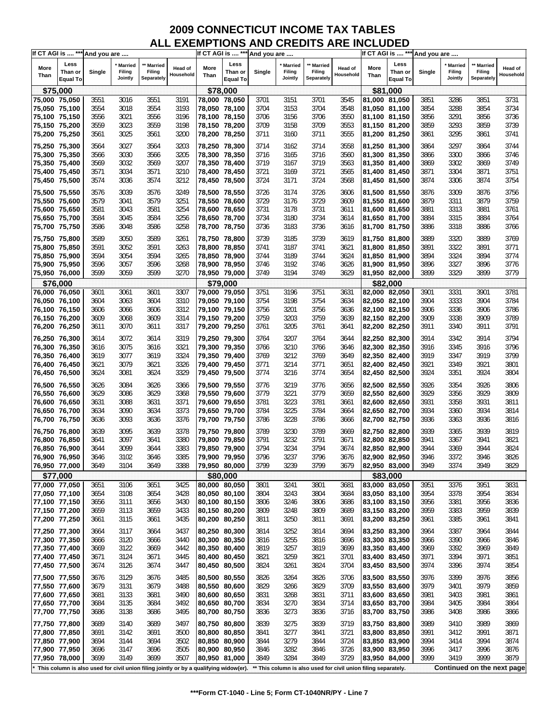| If CT AGI is  *** And you are |                                    |        |                              |                                                                                         |                             |               | If CT AGI is  *** And you are      |              |                                                                |                                    |                      |               | If CT AGI is  *** And you are      |              |                                     |                                 |                      |
|-------------------------------|------------------------------------|--------|------------------------------|-----------------------------------------------------------------------------------------|-----------------------------|---------------|------------------------------------|--------------|----------------------------------------------------------------|------------------------------------|----------------------|---------------|------------------------------------|--------------|-------------------------------------|---------------------------------|----------------------|
| More<br>Than                  | Less<br>Than or<br><b>Equal To</b> | Single | Married<br>Filing<br>Jointly | ** Married<br>Filing<br>Separately                                                      | <b>Head of</b><br>Household | More<br>Than  | Less<br>Than or<br><b>Equal To</b> | Single       | <b>Married</b><br>Filing<br>Jointly                            | ** Married<br>Filing<br>Separately | Head of<br>Household | More<br>Than  | Less<br>Than or<br><b>Equal To</b> | Single       | <b>Married</b><br>Filing<br>Jointly | Married<br>Filing<br>Separately | Head of<br>Household |
| \$75,000                      |                                    |        |                              |                                                                                         |                             |               | \$78,000                           |              |                                                                |                                    |                      |               | \$81,000                           |              |                                     |                                 |                      |
| 75,000 75,050                 |                                    | 3551   | 3016                         | 3551                                                                                    | 3191                        | 78,000 78,050 |                                    | 3701         | 3151                                                           | 3701                               | 3545                 | 81,000 81,050 |                                    | 3851         | 3286                                | 3851                            | 3731                 |
| 75,050 75,100                 |                                    | 3554   | 3018                         | 3554                                                                                    | 3193                        | 78,050 78,100 |                                    | 3704         | 3153                                                           | 3704                               | 3548                 | 81,050 81,100 |                                    | 3854         | 3288                                | 3854                            | 3734                 |
| 75,100 75,150                 |                                    | 3556   | 3021                         | 3556                                                                                    | 3196                        | 78,100 78,150 |                                    | 3706         | 3156                                                           | 3706                               | 3550                 | 81,100 81,150 |                                    | 3856         | 3291                                | 3856                            | 3736                 |
| 75,150 75,200                 |                                    | 3559   | 3023                         | 3559                                                                                    | 3198                        | 78,150 78,200 |                                    | 3709         | 3158                                                           | 3709                               | 3553                 | 81,150 81,200 |                                    | 3859         | 3293                                | 3859                            | 3739                 |
| 75,200 75,250                 |                                    | 3561   | 3025                         | 3561                                                                                    | 3200                        | 78,200 78,250 |                                    | 3711         | 3160                                                           | 3711                               | 3555                 | 81,200 81,250 |                                    | 3861         | 3295                                | 3861                            | 3741                 |
| 75,250 75,300                 |                                    | 3564   | 3027                         | 3564                                                                                    | 3203                        | 78,250 78,300 |                                    |              | 3162                                                           | 3714                               | 3558                 | 81,250 81,300 |                                    | 3864         | 3297                                | 3864                            | 3744                 |
| 75,300 75,350                 |                                    | 3566   | 3030                         | 3566                                                                                    | 3205                        | 78,300 78,350 |                                    | 3714<br>3716 | 3165                                                           | 3716                               | 3560                 | 81,300 81,350 |                                    | 3866         | 3300                                | 3866                            | 3746                 |
| 75,350 75,400                 |                                    | 3569   | 3032                         | 3569                                                                                    | 3207                        | 78,350 78,400 |                                    | 3719         | 3167                                                           | 3719                               | 3563                 | 81,350 81,400 |                                    | 3869         | 3302                                | 3869                            | 3749                 |
| 75,400 75,450                 |                                    | 3571   | 3034                         | 3571                                                                                    | 3210                        | 78,400 78,450 |                                    | 3721         | 3169                                                           | 3721                               | 3565                 | 81,400 81,450 |                                    | 3871         | 3304                                | 3871                            | 3751                 |
| 75,450 75,500                 |                                    | 3574   | 3036                         | 3574                                                                                    | 3212                        | 78,450 78,500 |                                    | 3724         | 3171                                                           | 3724                               | 3568                 | 81,450 81,500 |                                    | 3874         | 3306                                | 3874                            | 3754                 |
|                               |                                    |        |                              |                                                                                         |                             |               |                                    |              |                                                                |                                    |                      |               |                                    |              |                                     |                                 |                      |
| 75,500 75,550                 |                                    | 3576   | 3039                         | 3576                                                                                    | 3249                        | 78,500 78,550 |                                    | 3726         | 3174                                                           | 3726                               | 3606                 | 81,500 81,550 |                                    | 3876         | 3309                                | 3876                            | 3756                 |
| 75,550 75,600                 |                                    | 3579   | 3041                         | 3579                                                                                    | 3251                        | 78,550 78,600 |                                    | 3729         | 3176                                                           | 3729                               | 3609                 | 81,550 81,600 |                                    | 3879         | 3311                                | 3879                            | 3759                 |
| 75,600 75,650                 |                                    | 3581   | 3043                         | 3581                                                                                    | 3254                        | 78,600 78,650 |                                    | 3731         | 3178                                                           | 3731                               | 3611                 | 81,600 81,650 |                                    | 3881         | 3313                                | 3881                            | 3761                 |
| 75,650 75,700                 |                                    | 3584   | 3045                         | 3584                                                                                    | 3256                        | 78,650 78,700 |                                    | 3734         | 3180<br>3183                                                   | 3734<br>3736                       | 3614                 | 81,650 81,700 |                                    | 3884<br>3886 | 3315                                | 3884<br>3886                    | 3764                 |
| 75,700 75,750                 |                                    | 3586   | 3048                         | 3586                                                                                    | 3258                        | 78,700 78,750 |                                    | 3736         |                                                                |                                    | 3616                 | 81,700 81,750 |                                    |              | 3318                                |                                 | 3766                 |
| 75,750 75,800                 |                                    | 3589   | 3050                         | 3589                                                                                    | 3261                        | 78,750 78,800 |                                    | 3739         | 3185                                                           | 3739                               | 3619                 | 81,750 81,800 |                                    | 3889         | 3320                                | 3889                            | 3769                 |
| 75,800 75,850                 |                                    | 3591   | 3052                         | 3591                                                                                    | 3263                        | 78,800 78,850 |                                    | 3741         | 3187                                                           | 3741                               | 3621                 | 81,800 81,850 |                                    | 3891         | 3322                                | 3891                            | 3771                 |
| 75,850 75,900                 |                                    | 3594   | 3054                         | 3594                                                                                    | 3265                        | 78,850 78,900 |                                    | 3744         | 3189                                                           | 3744                               | 3624                 | 81,850 81,900 |                                    | 3894         | 3324                                | 3894                            | 3774                 |
| 75,900 75,950                 |                                    | 3596   | 3057                         | 3596                                                                                    | 3268                        | 78,900 78,950 |                                    | 3746         | 3192                                                           | 3746                               | 3626                 | 81,900 81,950 |                                    | 3896         | 3327                                | 3896                            | 3776                 |
| 75,950 76,000                 |                                    | 3599   | 3059                         | 3599                                                                                    | 3270                        | 78,950 79,000 |                                    | 3749         | 3194                                                           | 3749                               | 3629                 | 81,950 82,000 |                                    | 3899         | 3329                                | 3899                            | 3779                 |
| \$76,000                      |                                    |        |                              |                                                                                         |                             |               | \$79,000                           |              |                                                                |                                    |                      |               | \$82,000                           |              |                                     |                                 |                      |
| 76,000 76,050                 |                                    | 3601   | 3061                         | 3601                                                                                    | 3307                        | 79,000 79,050 |                                    | 3751         | 3196                                                           | 3751                               | 3631                 | 82,000 82,050 |                                    | 3901         | 3331                                | 3901                            | 3781                 |
| 76,050 76,100                 |                                    | 3604   | 3063                         | 3604                                                                                    | 3310                        | 79,050 79,100 |                                    | 3754         | 3198                                                           | 3754                               | 3634                 | 82,050 82,100 |                                    | 3904         | 3333                                | 3904                            | 3784                 |
| 76,100 76,150                 |                                    | 3606   | 3066                         | 3606                                                                                    | 3312                        | 79,100 79,150 |                                    | 3756         | 3201                                                           | 3756                               | 3636                 | 82,100 82,150 |                                    | 3906         | 3336                                | 3906                            | 3786                 |
| 76,150 76,200                 |                                    | 3609   | 3068                         | 3609                                                                                    | 3314                        | 79,150 79,200 |                                    | 3759         | 3203                                                           | 3759                               | 3639                 | 82,150 82,200 |                                    | 3909         | 3338                                | 3909                            | 3789                 |
| 76,200 76,250                 |                                    | 3611   | 3070                         | 3611                                                                                    | 3317                        | 79,200 79,250 |                                    | 3761         | 3205                                                           | 3761                               | 3641                 | 82,200 82,250 |                                    | 3911         | 3340                                | 3911                            | 3791                 |
| 76,250 76,300                 |                                    | 3614   | 3072                         | 3614                                                                                    | 3319                        | 79,250 79,300 |                                    | 3764         | 3207                                                           | 3764                               | 3644                 | 82,250 82,300 |                                    | 3914         | 3342                                | 3914                            | 3794                 |
| 76,300 76,350                 |                                    | 3616   | 3075                         | 3616                                                                                    | 3321                        | 79,300 79,350 |                                    | 3766         | 3210                                                           | 3766                               | 3646                 | 82,300 82,350 |                                    | 3916         | 3345                                | 3916                            | 3796                 |
| 76,350 76,400                 |                                    | 3619   | 3077                         | 3619                                                                                    | 3324                        | 79,350 79,400 |                                    | 3769         | 3212                                                           | 3769                               | 3649                 | 82,350 82,400 |                                    | 3919         | 3347                                | 3919                            | 3799                 |
| 76,400 76,450                 |                                    | 3621   | 3079                         | 3621                                                                                    | 3326                        | 79,400 79,450 |                                    | 3771         | 3214                                                           | 3771                               | 3651                 | 82,400 82,450 |                                    | 3921         | 3349                                | 3921                            | 3801                 |
| 76,450 76,500                 |                                    | 3624   | 3081                         | 3624                                                                                    | 3329                        | 79,450 79,500 |                                    | 3774         | 3216                                                           | 3774                               | 3654                 | 82,450 82,500 |                                    | 3924         | 3351                                | 3924                            | 3804                 |
| 76,500 76,550                 |                                    | 3626   | 3084                         | 3626                                                                                    | 3366                        | 79,500 79,550 |                                    | 3776         | 3219                                                           | 3776                               | 3656                 | 82,500 82,550 |                                    | 3926         | 3354                                | 3926                            | 3806                 |
| 76,550 76,600                 |                                    | 3629   | 3086                         | 3629                                                                                    | 3368                        | 79,550 79,600 |                                    | 3779         | 3221                                                           | 3779                               | 3659                 | 82,550 82,600 |                                    | 3929         | 3356                                | 3929                            | 3809                 |
| 76,600 76,650                 |                                    | 3631   | 3088                         | 3631                                                                                    | 3371                        | 79,600 79,650 |                                    | 3781         | 3223                                                           | 3781                               | 3661                 | 82,600 82,650 |                                    | 3931         | 3358                                | 3931                            | 3811                 |
| 76,650 76,700                 |                                    | 3634   | 3090                         | 3634                                                                                    | 3373                        | 79,650 79,700 |                                    | 3784         | 3225                                                           | 3784                               | 3664                 | 82,650 82,700 |                                    | 3934         | 3360                                | 3934                            | 3814                 |
| 76,700 76,750                 |                                    | 3636   | 3093                         | 3636                                                                                    | 3376                        | 79,700 79,750 |                                    | 3786         | 3228                                                           | 3786                               | 3666                 | 82,700 82,750 |                                    | 3936         | 3363                                | 3936                            | 3816                 |
| 76,750 76,800                 |                                    | 3639   | 3095                         | 3639                                                                                    | 3378                        | 79,750 79,800 |                                    | 3789         | 3230                                                           | 3789                               | 3669                 | 82,750 82,800 |                                    | 3939         | 3365                                | 3939                            | 3819                 |
| 76,800 76,850                 |                                    | 3641   | 3097                         | 3641                                                                                    | 3380                        | 79,800 79,850 |                                    | 3791         | 3232                                                           | 3791                               | 3671                 | 82,800 82,850 |                                    | 3941         | 3367                                | 3941                            | 3821                 |
| 76,850 76,900                 |                                    | 3644   | 3099                         | 3644                                                                                    | 3383                        | 79,850 79,900 |                                    | 3794         | 3234                                                           | 3794                               | 3674                 | 82,850 82,900 |                                    | 3944         | 3369                                | 3944                            | 3824                 |
| 76,900 76,950                 |                                    | 3646   | 3102                         | 3646                                                                                    | 3385                        | 79.900 79.950 |                                    | 3796         | 3237                                                           | 3796                               | 3676                 | 82,900 82,950 |                                    | 3946         | 3372                                | 3946                            | 3826                 |
| 76,950 77,000                 |                                    | 3649   | 3104                         | 3649                                                                                    | 3388                        | 79,950 80,000 |                                    | 3799         | 3239                                                           | 3799                               | 3679                 | 82,950 83,000 |                                    | 3949         | 3374                                | 3949                            | 3829                 |
| \$77,000                      |                                    |        |                              |                                                                                         |                             |               | \$80,000                           |              |                                                                |                                    |                      |               | \$83,000                           |              |                                     |                                 |                      |
| 77,000 77,050                 |                                    | 3651   | 3106                         | 3651                                                                                    | 3425                        | 80,000 80,050 |                                    | 3801         | 3241                                                           | 3801                               | 3681                 | 83,000 83,050 |                                    | 3951         | 3376                                | 3951                            | 3831                 |
| 77,050 77,100                 |                                    | 3654   | 3108                         | 3654                                                                                    | 3428                        | 80,050 80,100 |                                    | 3804         | 3243                                                           | 3804                               | 3684                 | 83,050 83,100 |                                    | 3954         | 3378                                | 3954                            | 3834                 |
| 77,100 77,150                 |                                    | 3656   | 3111                         | 3656                                                                                    | 3430                        | 80,100 80,150 |                                    | 3806         | 3246                                                           | 3806                               | 3686                 | 83,100 83,150 |                                    | 3956         | 3381                                | 3956                            | 3836                 |
| 77,150 77,200                 |                                    | 3659   | 3113                         | 3659                                                                                    | 3433                        | 80,150 80,200 |                                    | 3809         | 3248                                                           | 3809                               | 3689                 | 83,150 83,200 |                                    | 3959         | 3383                                | 3959                            | 3839                 |
| 77,200 77,250                 |                                    | 3661   | 3115                         | 3661                                                                                    | 3435                        | 80,200 80,250 |                                    | 3811         | 3250                                                           | 3811                               | 3691                 | 83,200 83,250 |                                    | 3961         | 3385                                | 3961                            | 3841                 |
| 77,250 77,300                 |                                    | 3664   | 3117                         | 3664                                                                                    | 3437                        | 80,250 80,300 |                                    | 3814         | 3252                                                           | 3814                               | 3694                 | 83,250 83,300 |                                    | 3964         | 3387                                | 3964                            | 3844                 |
| 77,300 77,350                 |                                    | 3666   | 3120                         | 3666                                                                                    | 3440                        | 80,300 80,350 |                                    | 3816         | 3255                                                           | 3816                               | 3696                 | 83,300 83,350 |                                    | 3966         | 3390                                | 3966                            | 3846                 |
| 77,350 77,400                 |                                    | 3669   | 3122                         | 3669                                                                                    | 3442                        | 80,350 80,400 |                                    | 3819         | 3257                                                           | 3819                               | 3699                 | 83,350 83,400 |                                    | 3969         | 3392                                | 3969                            | 3849                 |
| 77,400 77,450                 |                                    | 3671   | 3124                         | 3671                                                                                    | 3445                        | 80,400 80,450 |                                    | 3821         | 3259                                                           | 3821                               | 3701                 | 83,400 83,450 |                                    | 3971         | 3394                                | 3971                            | 3851                 |
| 77,450 77,500                 |                                    | 3674   | 3126                         | 3674                                                                                    | 3447                        | 80,450 80,500 |                                    | 3824         | 3261                                                           | 3824                               | 3704                 | 83,450 83,500 |                                    | 3974         | 3396                                | 3974                            | 3854                 |
| 77,500 77,550                 |                                    | 3676   | 3129                         | 3676                                                                                    | 3485                        | 80,500 80,550 |                                    | 3826         | 3264                                                           | 3826                               | 3706                 | 83,500 83,550 |                                    | 3976         | 3399                                | 3976                            | 3856                 |
| 77,550 77,600                 |                                    | 3679   | 3131                         | 3679                                                                                    | 3488                        | 80,550 80,600 |                                    | 3829         | 3266                                                           | 3829                               | 3709                 | 83,550 83,600 |                                    | 3979         | 3401                                | 3979                            | 3859                 |
| 77,600 77,650                 |                                    | 3681   | 3133                         | 3681                                                                                    | 3490                        | 80,600 80,650 |                                    | 3831         | 3268                                                           | 3831                               | 3711                 | 83,600 83,650 |                                    | 3981         | 3403                                | 3981                            | 3861                 |
| 77,650 77,700                 |                                    | 3684   | 3135                         | 3684                                                                                    | 3492                        | 80,650 80,700 |                                    | 3834         | 3270                                                           | 3834                               | 3714                 | 83,650 83,700 |                                    | 3984         | 3405                                | 3984                            | 3864                 |
| 77,700 77,750                 |                                    | 3686   | 3138                         | 3686                                                                                    | 3495                        | 80,700 80,750 |                                    | 3836         | 3273                                                           | 3836                               | 3716                 | 83,700 83,750 |                                    | 3986         | 3408                                | 3986                            | 3866                 |
| 77,750 77,800                 |                                    | 3689   | 3140                         | 3689                                                                                    | 3497                        | 80,750 80,800 |                                    | 3839         | 3275                                                           | 3839                               | 3719                 | 83,750 83,800 |                                    | 3989         | 3410                                | 3989                            | 3869                 |
| 77,800 77,850                 |                                    | 3691   | 3142                         | 3691                                                                                    | 3500                        | 80,800 80,850 |                                    | 3841         | 3277                                                           | 3841                               | 3721                 | 83,800 83,850 |                                    | 3991         | 3412                                | 3991                            | 3871                 |
| 77,850 77,900                 |                                    | 3694   | 3144                         | 3694                                                                                    | 3502                        | 80,850 80,900 |                                    | 3844         | 3279                                                           | 3844                               | 3724                 | 83,850 83,900 |                                    | 3994         | 3414                                | 3994                            | 3874                 |
| 77,900 77,950                 |                                    | 3696   | 3147                         | 3696                                                                                    | 3505                        | 80,900 80,950 |                                    | 3846         | 3282                                                           | 3846                               | 3726                 | 83,900 83,950 |                                    | 3996         | 3417                                | 3996                            | 3876                 |
| 77,950 78,000                 |                                    | 3699   | 3149                         | 3699                                                                                    | 3507                        | 80,950 81,000 |                                    | 3849         | 3284                                                           | 3849                               | 3729                 | 83,950 84,000 |                                    | 3999         | 3419                                | 3999                            | 3879                 |
|                               |                                    |        |                              | * This column is also used for civil union filing jointly or by a qualifying widow(er). |                             |               |                                    |              | ** This column is also used for civil union filing separately. |                                    |                      |               |                                    |              |                                     | Continued on the next page      |                      |
|                               |                                    |        |                              |                                                                                         |                             |               |                                    |              |                                                                |                                    |                      |               |                                    |              |                                     |                                 |                      |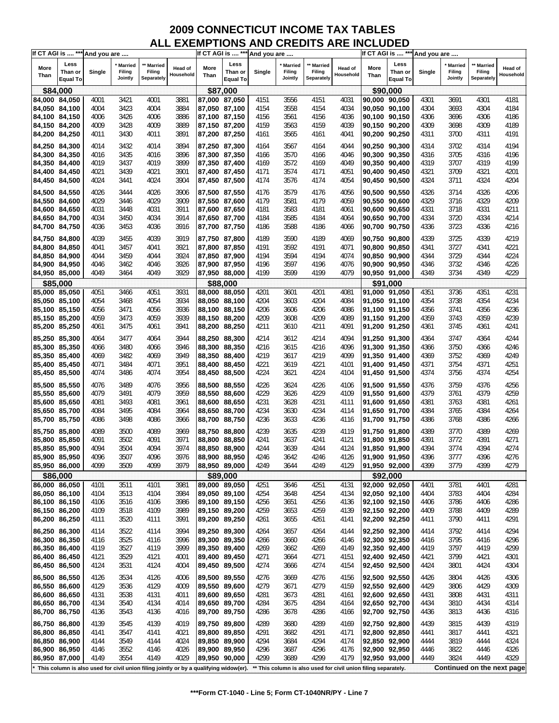| If CT AGI is  *** And you are |                 |        |                |                                                                                       |                      |               |                 | If CT AGI is  *** And you are |                |                                                                |                      |              | If CT AGI is  *** And you are |        |                |                            |                      |
|-------------------------------|-----------------|--------|----------------|---------------------------------------------------------------------------------------|----------------------|---------------|-----------------|-------------------------------|----------------|----------------------------------------------------------------|----------------------|--------------|-------------------------------|--------|----------------|----------------------------|----------------------|
|                               | Less            |        | <b>Married</b> | <b>Married</b>                                                                        |                      |               | Less            |                               | <b>Married</b> | ** Married                                                     |                      |              | Less                          |        | <b>Married</b> | ** Married                 |                      |
| More<br>Than                  | Than or         | Single | Filing         | Filing                                                                                | Head of<br>Household | More<br>Than  | Than or         | Single                        | Filing         | Filing                                                         | Head of<br>Household | More<br>Than | Than or                       | Single | Filing         | Filing                     | Head of<br>Household |
|                               | <b>Equal To</b> |        | Jointly        | Separately                                                                            |                      |               | <b>Equal To</b> |                               | Jointly        | Separately                                                     |                      |              | <b>Equal To</b>               |        | Jointly        | Separately                 |                      |
|                               | \$84,000        |        |                |                                                                                       |                      |               | \$87,000        |                               |                |                                                                |                      |              | \$90.000                      |        |                |                            |                      |
| 84,000 84,050                 |                 | 4001   | 3421           | 4001                                                                                  | 3881                 | 87,000 87,050 |                 | 4151                          | 3556           | 4151                                                           | 4031                 |              | 90,000 90,050                 | 4301   | 3691           | 4301                       | 4181                 |
| 84,050 84,100                 |                 | 4004   | 3423           | 4004                                                                                  | 3884                 | 87,050 87,100 |                 | 4154                          | 3558           | 4154                                                           | 4034                 |              | 90,050 90,100                 | 4304   | 3693           | 4304                       | 4184                 |
| 84,100 84,150                 |                 | 4006   | 3426           | 4006                                                                                  | 3886                 | 87,100 87,150 |                 | 4156                          | 3561           | 4156                                                           | 4036                 |              | 90,100 90,150                 | 4306   | 3696           | 4306                       | 4186                 |
| 84,150 84,200                 |                 | 4009   | 3428           | 4009                                                                                  | 3889                 | 87,150 87,200 |                 | 4159                          | 3563           | 4159                                                           | 4039                 |              | 90,150 90,200                 | 4309   | 3698           | 4309                       | 4189                 |
| 84,200 84,250                 |                 | 4011   | 3430           | 4011                                                                                  | 3891                 | 87,200 87,250 |                 | 4161                          | 3565           | 4161                                                           | 4041                 |              | 90,200 90,250                 | 4311   | 3700           | 4311                       | 4191                 |
|                               |                 |        |                |                                                                                       |                      |               |                 |                               |                |                                                                |                      |              |                               |        |                |                            |                      |
| 84,250 84,300                 |                 | 4014   | 3432           | 4014                                                                                  | 3894                 | 87,250 87,300 |                 | 4164                          | 3567           | 4164                                                           | 4044                 |              | 90,250 90,300                 | 4314   | 3702           | 4314                       | 4194                 |
| 84,300 84,350                 |                 | 4016   | 3435           | 4016                                                                                  | 3896                 | 87,300 87,350 |                 | 4166                          | 3570           | 4166                                                           | 4046                 |              | 90,300 90,350                 | 4316   | 3705           | 4316                       | 4196                 |
| 84,350 84,400                 |                 | 4019   | 3437           | 4019                                                                                  | 3899                 | 87,350 87,400 |                 | 4169                          | 3572           | 4169                                                           | 4049                 |              | 90,350 90,400                 | 4319   | 3707           | 4319                       | 4199                 |
| 84,400 84,450                 |                 | 4021   | 3439           | 4021                                                                                  | 3901                 | 87,400 87,450 |                 | 4171                          | 3574           | 4171                                                           | 4051                 |              | 90,400 90,450                 | 4321   | 3709           | 4321                       | 4201                 |
| 84,450 84,500                 |                 | 4024   | 3441           | 4024                                                                                  | 3904                 | 87,450 87,500 |                 | 4174                          | 3576           | 4174                                                           | 4054                 |              | 90,450 90,500                 | 4324   | 3711           | 4324                       | 4204                 |
| 84,500 84,550                 |                 | 4026   | 3444           | 4026                                                                                  | 3906                 | 87,500 87,550 |                 | 4176                          | 3579           | 4176                                                           | 4056                 |              | 90,500 90,550                 | 4326   | 3714           | 4326                       | 4206                 |
| 84,550 84,600                 |                 |        |                |                                                                                       | 3909                 |               |                 |                               |                | 4179                                                           |                      |              | 90,550 90,600                 |        |                |                            | 4209                 |
|                               |                 | 4029   | 3446           | 4029                                                                                  |                      | 87,550 87,600 |                 | 4179                          | 3581           |                                                                | 4059                 |              |                               | 4329   | 3716           | 4329                       |                      |
| 84,600 84,650                 |                 | 4031   | 3448           | 4031                                                                                  | 3911                 | 87,600 87,650 |                 | 4181                          | 3583           | 4181                                                           | 4061                 |              | 90,600 90,650                 | 4331   | 3718           | 4331                       | 4211                 |
| 84,650 84,700                 |                 | 4034   | 3450           | 4034                                                                                  | 3914                 | 87,650 87,700 |                 | 4184                          | 3585           | 4184                                                           | 4064                 |              | 90,650 90,700                 | 4334   | 3720           | 4334                       | 4214                 |
| 84,700 84,750                 |                 | 4036   | 3453           | 4036                                                                                  | 3916                 | 87,700 87,750 |                 | 4186                          | 3588           | 4186                                                           | 4066                 |              | 90,700 90,750                 | 4336   | 3723           | 4336                       | 4216                 |
| 84,750 84,800                 |                 | 4039   | 3455           | 4039                                                                                  | 3919                 |               | 87,750 87,800   | 4189                          | 3590           | 4189                                                           | 4069                 |              | 90,750 90,800                 | 4339   | 3725           | 4339                       | 4219                 |
| 84,800 84,850                 |                 | 4041   | 3457           | 4041                                                                                  | 3921                 | 87,800 87,850 |                 | 4191                          | 3592           | 4191                                                           | 4071                 |              | 90,800 90,850                 | 4341   | 3727           | 4341                       | 4221                 |
| 84,850 84,900                 |                 | 4044   | 3459           | 4044                                                                                  | 3924                 | 87,850 87,900 |                 | 4194                          | 3594           | 4194                                                           | 4074                 |              | 90,850 90,900                 | 4344   | 3729           | 4344                       | 4224                 |
| 84,900 84,950                 |                 | 4046   | 3462           | 4046                                                                                  | 3926                 | 87,900 87,950 |                 | 4196                          | 3597           | 4196                                                           | 4076                 |              | 90,900 90,950                 | 4346   | 3732           | 4346                       | 4226                 |
| 84,950 85,000                 |                 | 4049   | 3464           | 4049                                                                                  | 3929                 | 87,950 88,000 |                 | 4199                          | 3599           | 4199                                                           | 4079                 |              | 90,950 91,000                 | 4349   | 3734           | 4349                       | 4229                 |
|                               | \$85,000        |        |                |                                                                                       |                      |               | \$88,000        |                               |                |                                                                |                      |              | \$91,000                      |        |                |                            |                      |
| 85,000 85,050                 |                 | 4051   | 3466           | 4051                                                                                  | 3931                 | 88,000 88,050 |                 | 4201                          | 3601           | 4201                                                           | 4081                 |              | 91,000 91,050                 | 4351   | 3736           | 4351                       | 4231                 |
|                               |                 | 4054   |                |                                                                                       | 3934                 |               |                 |                               |                |                                                                | 4084                 |              | 91,050 91,100                 | 4354   |                |                            | 4234                 |
| 85,050 85,100                 |                 |        | 3468           | 4054                                                                                  |                      | 88,050 88,100 |                 | 4204                          | 3603           | 4204                                                           |                      |              |                               |        | 3738           | 4354                       |                      |
| 85,100 85,150                 |                 | 4056   | 3471           | 4056                                                                                  | 3936                 | 88,100 88,150 |                 | 4206                          | 3606           | 4206                                                           | 4086                 |              | 91,100 91,150                 | 4356   | 3741           | 4356                       | 4236                 |
| 85,150 85,200                 |                 | 4059   | 3473           | 4059                                                                                  | 3939                 | 88,150 88,200 |                 | 4209                          | 3608           | 4209                                                           | 4089                 |              | 91,150 91,200                 | 4359   | 3743           | 4359                       | 4239                 |
| 85,200 85,250                 |                 | 4061   | 3475           | 4061                                                                                  | 3941                 | 88,200 88,250 |                 | 4211                          | 3610           | 4211                                                           | 4091                 |              | 91,200 91,250                 | 4361   | 3745           | 4361                       | 4241                 |
| 85,250 85,300                 |                 | 4064   | 3477           | 4064                                                                                  | 3944                 | 88,250 88,300 |                 | 4214                          | 3612           | 4214                                                           | 4094                 |              | 91,250 91,300                 | 4364   | 3747           | 4364                       | 4244                 |
| 85,300 85,350                 |                 | 4066   | 3480           | 4066                                                                                  | 3946                 | 88,300 88,350 |                 | 4216                          | 3615           | 4216                                                           | 4096                 |              | 91,300 91,350                 | 4366   | 3750           | 4366                       | 4246                 |
| 85,350 85,400                 |                 | 4069   | 3482           | 4069                                                                                  | 3949                 | 88,350 88,400 |                 | 4219                          | 3617           | 4219                                                           | 4099                 |              | 91,350 91,400                 | 4369   | 3752           | 4369                       | 4249                 |
| 85,400 85,450                 |                 | 4071   | 3484           | 4071                                                                                  | 3951                 | 88,400 88,450 |                 | 4221                          | 3619           | 4221                                                           | 4101                 |              | 91,400 91,450                 | 4371   | 3754           | 4371                       | 4251                 |
| 85,450 85,500                 |                 | 4074   | 3486           | 4074                                                                                  | 3954                 | 88,450 88,500 |                 | 4224                          | 3621           | 4224                                                           | 4104                 |              | 91,450 91,500                 | 4374   | 3756           | 4374                       | 4254                 |
|                               |                 |        |                |                                                                                       |                      |               |                 |                               |                |                                                                |                      |              |                               |        |                |                            |                      |
| 85,500 85,550                 |                 | 4076   | 3489           | 4076                                                                                  | 3956                 | 88,500 88,550 |                 | 4226                          | 3624           | 4226                                                           | 4106                 |              | 91,500 91,550                 | 4376   | 3759           | 4376                       | 4256                 |
| 85,550 85,600                 |                 | 4079   | 3491           | 4079                                                                                  | 3959                 | 88,550 88,600 |                 | 4229                          | 3626           | 4229                                                           | 4109                 |              | 91,550 91,600                 | 4379   | 3761           | 4379                       | 4259                 |
| 85,600 85,650                 |                 | 4081   | 3493           | 4081                                                                                  | 3961                 | 88,600 88,650 |                 | 4231                          | 3628           | 4231                                                           | 4111                 |              | 91,600 91,650                 | 4381   | 3763           | 4381                       | 4261                 |
| 85,650 85,700                 |                 | 4084   | 3495           | 4084                                                                                  | 3964                 | 88,650 88,700 |                 | 4234                          | 3630           | 4234                                                           | 4114                 |              | 91,650 91,700                 | 4384   | 3765           | 4384                       | 4264                 |
| 85,700 85,750                 |                 | 4086   | 3498           | 4086                                                                                  | 3966                 | 88,700 88,750 |                 | 4236                          | 3633           | 4236                                                           | 4116                 |              | 91,700 91,750                 | 4386   | 3768           | 4386                       | 4266                 |
| 85,750 85,800                 |                 | 4089   | 3500           | 4089                                                                                  | 3969                 | 88,750 88,800 |                 | 4239                          | 3635           | 4239                                                           | 4119                 |              | 91,750 91,800                 | 4389   | 3770           | 4389                       | 4269                 |
| 85,800 85,850                 |                 | 4091   | 3502           | 4091                                                                                  | 3971                 | 88,800 88,850 |                 | 4241                          | 3637           | 4241                                                           | 4121                 |              | 91,800 91,850                 | 4391   | 3772           | 4391                       | 4271                 |
| 85,850 85,900                 |                 | 4094   | 3504           | 4094                                                                                  | 3974                 |               | 88,850 88,900   | 4244                          | 3639           | 4244                                                           | 4124                 |              | 91,850 91,900                 | 4394   | 3774           | 4394                       | 4274                 |
| 85,900 85,950                 |                 | 4096   | 3507           | 4096                                                                                  | 3976                 | 88,900 88,950 |                 | 4246                          | 3642           | 4246                                                           | 4126                 |              | 91,900 91,950                 | 4396   | 3777           | 4396                       | 4276                 |
| 85,950 86,000                 |                 | 4099   | 3509           | 4099                                                                                  | 3979                 | 88,950 89,000 |                 | 4249                          | 3644           | 4249                                                           | 4129                 |              | 91,950 92,000                 | 4399   | 3779           | 4399                       | 4279                 |
|                               | \$86,000        |        |                |                                                                                       |                      |               | \$89,000        |                               |                |                                                                |                      |              | \$92,000                      |        |                |                            |                      |
| 86,000 86,050                 |                 | 4101   | 3511           | 4101                                                                                  | 3981                 |               | 89,000 89,050   | 4251                          | 3646           | 4251                                                           | 4131                 |              | 92,000 92,050                 | 4401   | 3781           | 4401                       | 4281                 |
| 86,050 86,100                 |                 | 4104   | 3513           | 4104                                                                                  | 3984                 | 89,050 89,100 |                 | 4254                          | 3648           | 4254                                                           | 4134                 |              | 92,050 92,100                 | 4404   | 3783           | 4404                       | 4284                 |
| 86,100 86,150                 |                 | 4106   | 3516           | 4106                                                                                  | 3986                 | 89,100 89,150 |                 | 4256                          | 3651           | 4256                                                           | 4136                 |              | 92,100 92,150                 | 4406   | 3786           | 4406                       | 4286                 |
| 86,150 86,200                 |                 | 4109   | 3518           | 4109                                                                                  | 3989                 | 89,150 89,200 |                 | 4259                          | 3653           | 4259                                                           | 4139                 |              | 92,150 92,200                 | 4409   | 3788           | 4409                       | 4289                 |
| 86,200 86,250                 |                 | 4111   | 3520           | 4111                                                                                  | 3991                 | 89,200 89,250 |                 | 4261                          | 3655           | 4261                                                           | 4141                 |              | 92,200 92,250                 | 4411   | 3790           | 4411                       | 4291                 |
|                               |                 |        |                |                                                                                       |                      |               |                 |                               |                |                                                                |                      |              |                               |        |                |                            |                      |
| 86,250 86,300                 |                 | 4114   | 3522           | 4114                                                                                  | 3994                 | 89,250 89,300 |                 | 4264                          | 3657           | 4264                                                           | 4144                 |              | 92,250 92,300                 | 4414   | 3792           | 4414                       | 4294                 |
| 86,300 86,350                 |                 | 4116   | 3525           | 4116                                                                                  | 3996                 | 89,300 89,350 |                 | 4266                          | 3660           | 4266                                                           | 4146                 |              | 92,300 92,350                 | 4416   | 3795           | 4416                       | 4296                 |
| 86,350 86,400                 |                 | 4119   | 3527           | 4119                                                                                  | 3999                 | 89,350 89,400 |                 | 4269                          | 3662           | 4269                                                           | 4149                 |              | 92,350 92,400                 | 4419   | 3797           | 4419                       | 4299                 |
| 86,400 86,450                 |                 | 4121   | 3529           | 4121                                                                                  | 4001                 | 89,400 89,450 |                 | 4271                          | 3664           | 4271                                                           | 4151                 |              | 92,400 92,450                 | 4421   | 3799           | 4421                       | 4301                 |
| 86,450 86,500                 |                 | 4124   | 3531           | 4124                                                                                  | 4004                 | 89,450 89,500 |                 | 4274                          | 3666           | 4274                                                           | 4154                 |              | 92,450 92,500                 | 4424   | 3801           | 4424                       | 4304                 |
| 86,500 86,550                 |                 | 4126   | 3534           | 4126                                                                                  | 4006                 | 89,500 89,550 |                 | 4276                          | 3669           | 4276                                                           | 4156                 |              | 92,500 92,550                 | 4426   | 3804           | 4426                       | 4306                 |
| 86,550 86,600                 |                 | 4129   | 3536           | 4129                                                                                  | 4009                 | 89,550 89,600 |                 | 4279                          | 3671           | 4279                                                           | 4159                 |              | 92,550 92,600                 | 4429   | 3806           | 4429                       | 4309                 |
| 86,600 86,650                 |                 | 4131   | 3538           | 4131                                                                                  | 4011                 | 89,600 89,650 |                 | 4281                          | 3673           | 4281                                                           |                      |              | 92,600 92,650                 | 4431   | 3808           | 4431                       | 4311                 |
|                               |                 | 4134   | 3540           |                                                                                       |                      |               |                 |                               | 3675           | 4284                                                           | 4161                 |              |                               | 4434   | 3810           |                            |                      |
| 86,650 86,700                 |                 |        |                | 4134                                                                                  | 4014                 | 89,650 89,700 |                 | 4284                          |                |                                                                | 4164                 |              | 92,650 92,700                 |        |                | 4434                       | 4314                 |
| 86,700 86,750                 |                 | 4136   | 3543           | 4136                                                                                  | 4016                 | 89,700 89,750 |                 | 4286                          | 3678           | 4286                                                           | 4166                 |              | 92,700 92,750                 | 4436   | 3813           | 4436                       | 4316                 |
| 86,750 86,800                 |                 | 4139   | 3545           | 4139                                                                                  | 4019                 | 89,750 89,800 |                 | 4289                          | 3680           | 4289                                                           | 4169                 |              | 92,750 92,800                 | 4439   | 3815           | 4439                       | 4319                 |
| 86,800 86,850                 |                 | 4141   | 3547           | 4141                                                                                  | 4021                 | 89,800 89,850 |                 | 4291                          | 3682           | 4291                                                           | 4171                 |              | 92,800 92,850                 | 4441   | 3817           | 4441                       | 4321                 |
| 86,850 86,900                 |                 | 4144   | 3549           | 4144                                                                                  | 4024                 | 89,850 89,900 |                 | 4294                          | 3684           | 4294                                                           | 4174                 |              | 92,850 92,900                 | 4444   | 3819           | 4444                       | 4324                 |
| 86,900 86,950                 |                 | 4146   | 3552           | 4146                                                                                  | 4026                 | 89,900 89,950 |                 | 4296                          | 3687           | 4296                                                           | 4176                 |              | 92,900 92,950                 | 4446   | 3822           | 4446                       | 4326                 |
| 86,950 87,000                 |                 | 4149   | 3554           | 4149                                                                                  | 4029                 | 89,950 90,000 |                 | 4299                          | 3689           | 4299                                                           | 4179                 |              | 92,950 93,000                 | 4449   | 3824           | 4449                       | 4329                 |
|                               |                 |        |                | This column is also used for civil union filing jointly or by a qualifying widow(er). |                      |               |                 |                               |                | ** This column is also used for civil union filing separately. |                      |              |                               |        |                | Continued on the next page |                      |
|                               |                 |        |                |                                                                                       |                      |               |                 |                               |                |                                                                |                      |              |                               |        |                |                            |                      |